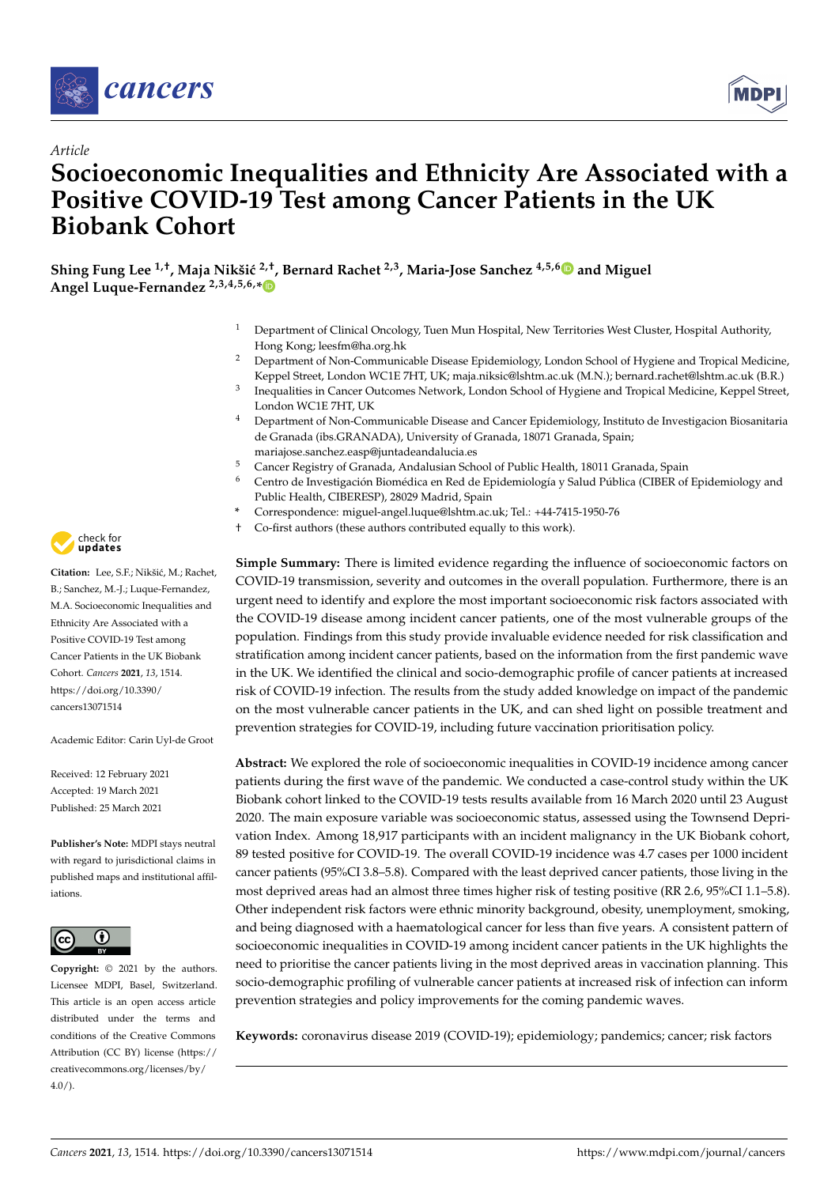

*Article*



# **Socioeconomic Inequalities and Ethnicity Are Associated with a Positive COVID-19 Test among Cancer Patients in the UK Biobank Cohort**

**Shing Fung Lee 1,†, Maja Nikši´c 2,†, Bernard Rachet 2,3, Maria-Jose Sanchez 4,5,[6](https://orcid.org/0000-0003-4817-0757) and Miguel Angel Luque-Fernandez 2,3,4,5,6,[\\*](https://orcid.org/0000-0001-6683-5164)**

- <sup>1</sup> Department of Clinical Oncology, Tuen Mun Hospital, New Territories West Cluster, Hospital Authority, Hong Kong; leesfm@ha.org.hk
- <sup>2</sup> Department of Non-Communicable Disease Epidemiology, London School of Hygiene and Tropical Medicine, Keppel Street, London WC1E 7HT, UK; maja.niksic@lshtm.ac.uk (M.N.); bernard.rachet@lshtm.ac.uk (B.R.)
- 3 Inequalities in Cancer Outcomes Network, London School of Hygiene and Tropical Medicine, Keppel Street, London WC1E 7HT, UK
- <sup>4</sup> Department of Non-Communicable Disease and Cancer Epidemiology, Instituto de Investigacion Biosanitaria de Granada (ibs.GRANADA), University of Granada, 18071 Granada, Spain; mariajose.sanchez.easp@juntadeandalucia.es
- <sup>5</sup> Cancer Registry of Granada, Andalusian School of Public Health, 18011 Granada, Spain
- <sup>6</sup> Centro de Investigación Biomédica en Red de Epidemiología y Salud Pública (CIBER of Epidemiology and Public Health, CIBERESP), 28029 Madrid, Spain
- **\*** Correspondence: miguel-angel.luque@lshtm.ac.uk; Tel.: +44-7415-1950-76
- † Co-first authors (these authors contributed equally to this work).

**Simple Summary:** There is limited evidence regarding the influence of socioeconomic factors on COVID-19 transmission, severity and outcomes in the overall population. Furthermore, there is an urgent need to identify and explore the most important socioeconomic risk factors associated with the COVID-19 disease among incident cancer patients, one of the most vulnerable groups of the population. Findings from this study provide invaluable evidence needed for risk classification and stratification among incident cancer patients, based on the information from the first pandemic wave in the UK. We identified the clinical and socio-demographic profile of cancer patients at increased risk of COVID-19 infection. The results from the study added knowledge on impact of the pandemic on the most vulnerable cancer patients in the UK, and can shed light on possible treatment and prevention strategies for COVID-19, including future vaccination prioritisation policy.

**Abstract:** We explored the role of socioeconomic inequalities in COVID-19 incidence among cancer patients during the first wave of the pandemic. We conducted a case-control study within the UK Biobank cohort linked to the COVID-19 tests results available from 16 March 2020 until 23 August 2020. The main exposure variable was socioeconomic status, assessed using the Townsend Deprivation Index. Among 18,917 participants with an incident malignancy in the UK Biobank cohort, 89 tested positive for COVID-19. The overall COVID-19 incidence was 4.7 cases per 1000 incident cancer patients (95%CI 3.8–5.8). Compared with the least deprived cancer patients, those living in the most deprived areas had an almost three times higher risk of testing positive (RR 2.6, 95%CI 1.1–5.8). Other independent risk factors were ethnic minority background, obesity, unemployment, smoking, and being diagnosed with a haematological cancer for less than five years. A consistent pattern of socioeconomic inequalities in COVID-19 among incident cancer patients in the UK highlights the need to prioritise the cancer patients living in the most deprived areas in vaccination planning. This socio-demographic profiling of vulnerable cancer patients at increased risk of infection can inform prevention strategies and policy improvements for the coming pandemic waves.

**Keywords:** coronavirus disease 2019 (COVID-19); epidemiology; pandemics; cancer; risk factors



Citation: Lee, S.F.; Nikšić, M.; Rachet, B.; Sanchez, M.-J.; Luque-Fernandez, M.A. Socioeconomic Inequalities and Ethnicity Are Associated with a Positive COVID-19 Test among Cancer Patients in the UK Biobank Cohort. *Cancers* **2021**, *13*, 1514. [https://doi.org/10.3390/](https://doi.org/10.3390/cancers13071514) [cancers13071514](https://doi.org/10.3390/cancers13071514)

Academic Editor: Carin Uyl-de Groot

Received: 12 February 2021 Accepted: 19 March 2021 Published: 25 March 2021

**Publisher's Note:** MDPI stays neutral with regard to jurisdictional claims in published maps and institutional affiliations.



**Copyright:** © 2021 by the authors. Licensee MDPI, Basel, Switzerland. This article is an open access article distributed under the terms and conditions of the Creative Commons Attribution (CC BY) license (https:/[/](https://creativecommons.org/licenses/by/4.0/) [creativecommons.org/licenses/by/](https://creativecommons.org/licenses/by/4.0/)  $4.0/$ ).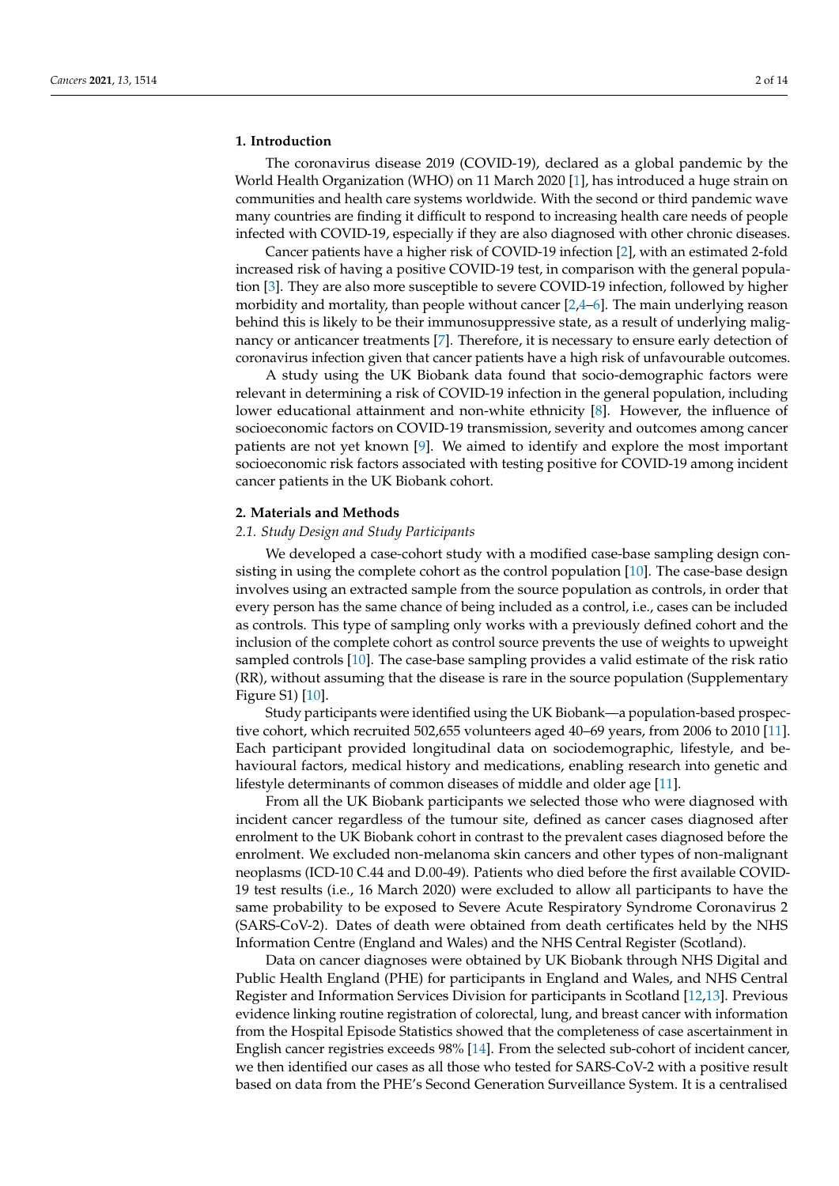### **1. Introduction**

The coronavirus disease 2019 (COVID-19), declared as a global pandemic by the World Health Organization (WHO) on 11 March 2020 [\[1\]](#page-11-0), has introduced a huge strain on communities and health care systems worldwide. With the second or third pandemic wave many countries are finding it difficult to respond to increasing health care needs of people infected with COVID-19, especially if they are also diagnosed with other chronic diseases.

Cancer patients have a higher risk of COVID-19 infection [\[2\]](#page-11-1), with an estimated 2-fold increased risk of having a positive COVID-19 test, in comparison with the general population [\[3\]](#page-11-2). They are also more susceptible to severe COVID-19 infection, followed by higher morbidity and mortality, than people without cancer  $[2,4-6]$  $[2,4-6]$  $[2,4-6]$ . The main underlying reason behind this is likely to be their immunosuppressive state, as a result of underlying malignancy or anticancer treatments [\[7\]](#page-11-5). Therefore, it is necessary to ensure early detection of coronavirus infection given that cancer patients have a high risk of unfavourable outcomes.

A study using the UK Biobank data found that socio-demographic factors were relevant in determining a risk of COVID-19 infection in the general population, including lower educational attainment and non-white ethnicity [\[8\]](#page-11-6). However, the influence of socioeconomic factors on COVID-19 transmission, severity and outcomes among cancer patients are not yet known [\[9\]](#page-11-7). We aimed to identify and explore the most important socioeconomic risk factors associated with testing positive for COVID-19 among incident cancer patients in the UK Biobank cohort.

### **2. Materials and Methods**

### *2.1. Study Design and Study Participants*

We developed a case-cohort study with a modified case-base sampling design consisting in using the complete cohort as the control population [\[10\]](#page-11-8). The case-base design involves using an extracted sample from the source population as controls, in order that every person has the same chance of being included as a control, i.e., cases can be included as controls. This type of sampling only works with a previously defined cohort and the inclusion of the complete cohort as control source prevents the use of weights to upweight sampled controls [\[10\]](#page-11-8). The case-base sampling provides a valid estimate of the risk ratio (RR), without assuming that the disease is rare in the source population (Supplementary Figure S1) [\[10\]](#page-11-8).

Study participants were identified using the UK Biobank—a population-based prospective cohort, which recruited 502,655 volunteers aged 40–69 years, from 2006 to 2010 [\[11\]](#page-11-9). Each participant provided longitudinal data on sociodemographic, lifestyle, and behavioural factors, medical history and medications, enabling research into genetic and lifestyle determinants of common diseases of middle and older age [\[11\]](#page-11-9).

From all the UK Biobank participants we selected those who were diagnosed with incident cancer regardless of the tumour site, defined as cancer cases diagnosed after enrolment to the UK Biobank cohort in contrast to the prevalent cases diagnosed before the enrolment. We excluded non-melanoma skin cancers and other types of non-malignant neoplasms (ICD-10 C.44 and D.00-49). Patients who died before the first available COVID-19 test results (i.e., 16 March 2020) were excluded to allow all participants to have the same probability to be exposed to Severe Acute Respiratory Syndrome Coronavirus 2 (SARS-CoV-2). Dates of death were obtained from death certificates held by the NHS Information Centre (England and Wales) and the NHS Central Register (Scotland).

Data on cancer diagnoses were obtained by UK Biobank through NHS Digital and Public Health England (PHE) for participants in England and Wales, and NHS Central Register and Information Services Division for participants in Scotland [\[12,](#page-11-10)[13\]](#page-11-11). Previous evidence linking routine registration of colorectal, lung, and breast cancer with information from the Hospital Episode Statistics showed that the completeness of case ascertainment in English cancer registries exceeds 98% [\[14\]](#page-11-12). From the selected sub-cohort of incident cancer, we then identified our cases as all those who tested for SARS-CoV-2 with a positive result based on data from the PHE's Second Generation Surveillance System. It is a centralised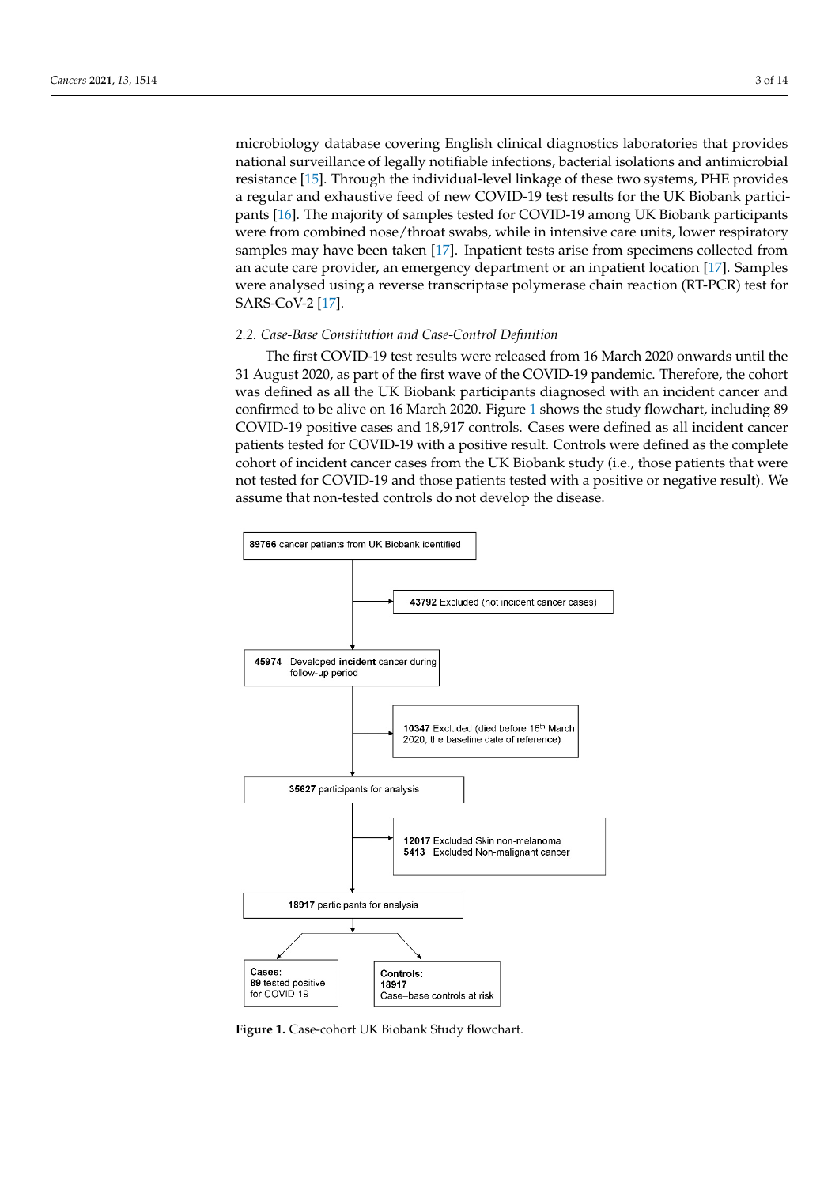microbiology database covering English clinical diagnostics laboratories that provides national surveillance of legally notifiable infections, bacterial isolations and antimicrobial resistance [\[15\]](#page-11-13). Through the individual-level linkage of these two systems, PHE provides a regular and exhaustive feed of new COVID-19 test results for the UK Biobank partici-pants [\[16\]](#page-11-14). The majority of samples tested for COVID-19 among UK Biobank participants were from combined nose/throat swabs, while in intensive care units, lower respiratory samples may have been taken [\[17\]](#page-11-15). Inpatient tests arise from specimens collected from an acute care provider, an emergency department or an inpatient location [\[17\]](#page-11-15). Samples were analysed using a reverse transcriptase polymerase chain reaction (RT-PCR) test for SARS-CoV-2 [\[17\]](#page-11-15).

# *2.2. Case-Base Constitution and Case-Control Definition 2.2. Case-Base Constitution and Case-Control Definition*

The first COVID-19 test results were released from 16 March 2020 onwards until the The first COVID-19 test results were released from 16 March 2020 onwards until the 31 August 2020, as part of the first wave of the COVID-19 pandemic. Therefore, the cohort 31 August 2020, as part of the first wave of the COVID-19 pandemic. Therefore, the cohort was defined as all the UK Biobank participants diagnosed with an incident cancer and was defined as all the UK Biobank participants diagnosed with an incident cancer and confirmed to be alive on 16 March 2020. Figure 1 shows the study flowchart, including 89 confirmed to be alive on 16 March 2020. Figure [1](#page-2-0) shows the study flowchart, including 89 COVID-19 positive cases and 18,917 controls. Cases were defined as all incident cancer COVID-19 positive cases and 18,917 controls. Cases were defined as all incident cancer patients tested for COVID-19 with a positive result. Controls were defined as the complete patients tested for COVID-19 with a positive result. Controls were defined as the complete cohort of incident cancer cases from the UK Biobank study (i.e., those patients that were cohort of incident cancer cases from the UK Biobank study (i.e., those patients that were not tested for COVID-19 and those patients tested with a positive or negative result). We not tested for COVID-19 and those patients tested with a positive or negative result). We assume that non-tested controls do not develop the disease. assume that non-tested controls do not develop the disease.

<span id="page-2-0"></span>

**Figure 1. Figure 1.**  Case-cohort UK Biobank Study flowchart. Case-cohort UK Biobank Study flowchart.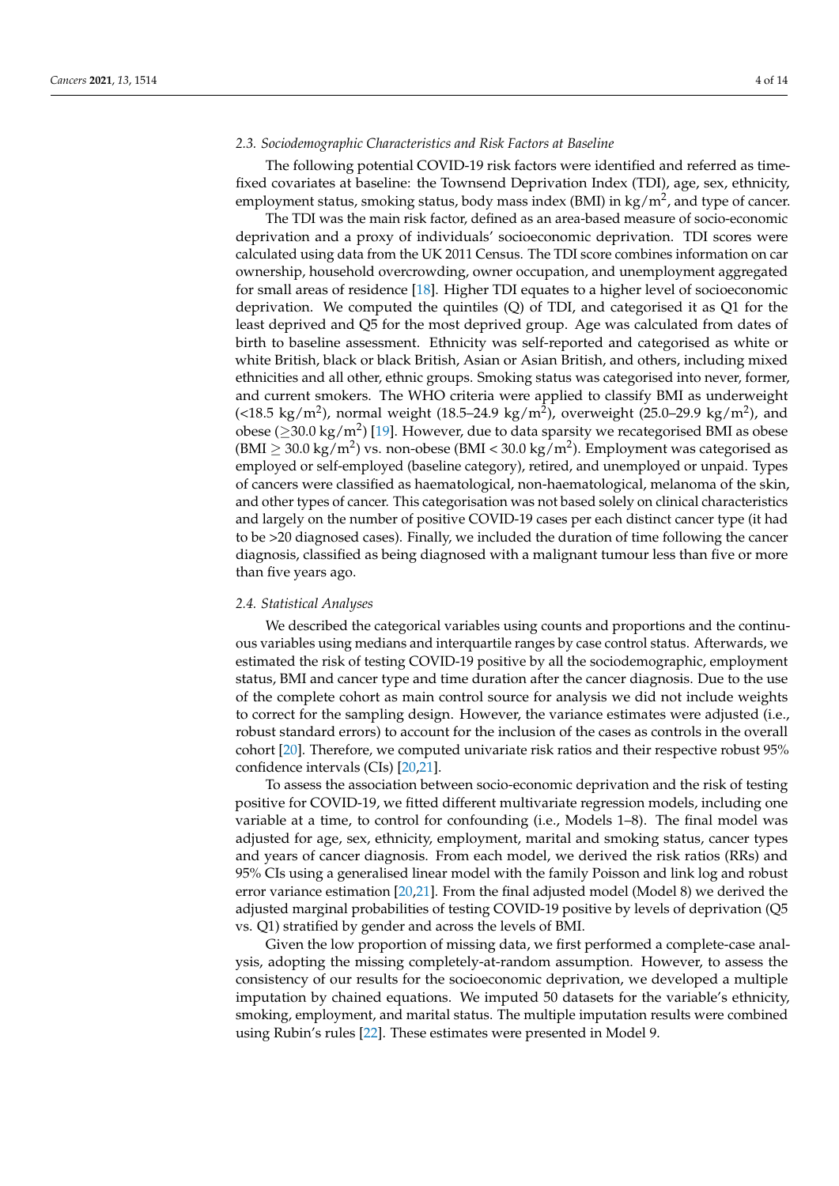# *2.3. Sociodemographic Characteristics and Risk Factors at Baseline*

The following potential COVID-19 risk factors were identified and referred as timefixed covariates at baseline: the Townsend Deprivation Index (TDI), age, sex, ethnicity, employment status, smoking status, body mass index (BMI) in kg/m<sup>2</sup>, and type of cancer.

The TDI was the main risk factor, defined as an area-based measure of socio-economic deprivation and a proxy of individuals' socioeconomic deprivation. TDI scores were calculated using data from the UK 2011 Census. The TDI score combines information on car ownership, household overcrowding, owner occupation, and unemployment aggregated for small areas of residence [\[18\]](#page-12-0). Higher TDI equates to a higher level of socioeconomic deprivation. We computed the quintiles  $(Q)$  of TDI, and categorised it as  $Q1$  for the least deprived and Q5 for the most deprived group. Age was calculated from dates of birth to baseline assessment. Ethnicity was self-reported and categorised as white or white British, black or black British, Asian or Asian British, and others, including mixed ethnicities and all other, ethnic groups. Smoking status was categorised into never, former, and current smokers. The WHO criteria were applied to classify BMI as underweight (<18.5 kg/m<sup>2</sup>), normal weight (18.5–24.9 kg/m<sup>2</sup>), overweight (25.0–29.9 kg/m<sup>2</sup>), and obese ( $\geq$ 30.0 kg/m<sup>2</sup>) [\[19\]](#page-12-1). However, due to data sparsity we recategorised BMI as obese (BMI  $\geq$  30.0 kg/m<sup>2</sup>) vs. non-obese (BMI < 30.0 kg/m<sup>2</sup>). Employment was categorised as employed or self-employed (baseline category), retired, and unemployed or unpaid. Types of cancers were classified as haematological, non-haematological, melanoma of the skin, and other types of cancer. This categorisation was not based solely on clinical characteristics and largely on the number of positive COVID-19 cases per each distinct cancer type (it had to be >20 diagnosed cases). Finally, we included the duration of time following the cancer diagnosis, classified as being diagnosed with a malignant tumour less than five or more than five years ago.

## *2.4. Statistical Analyses*

We described the categorical variables using counts and proportions and the continuous variables using medians and interquartile ranges by case control status. Afterwards, we estimated the risk of testing COVID-19 positive by all the sociodemographic, employment status, BMI and cancer type and time duration after the cancer diagnosis. Due to the use of the complete cohort as main control source for analysis we did not include weights to correct for the sampling design. However, the variance estimates were adjusted (i.e., robust standard errors) to account for the inclusion of the cases as controls in the overall cohort [\[20\]](#page-12-2). Therefore, we computed univariate risk ratios and their respective robust 95% confidence intervals (CIs) [\[20,](#page-12-2)[21\]](#page-12-3).

To assess the association between socio-economic deprivation and the risk of testing positive for COVID-19, we fitted different multivariate regression models, including one variable at a time, to control for confounding (i.e., Models 1–8). The final model was adjusted for age, sex, ethnicity, employment, marital and smoking status, cancer types and years of cancer diagnosis. From each model, we derived the risk ratios (RRs) and 95% CIs using a generalised linear model with the family Poisson and link log and robust error variance estimation [\[20](#page-12-2)[,21\]](#page-12-3). From the final adjusted model (Model 8) we derived the adjusted marginal probabilities of testing COVID-19 positive by levels of deprivation (Q5 vs. Q1) stratified by gender and across the levels of BMI.

Given the low proportion of missing data, we first performed a complete-case analysis, adopting the missing completely-at-random assumption. However, to assess the consistency of our results for the socioeconomic deprivation, we developed a multiple imputation by chained equations. We imputed 50 datasets for the variable's ethnicity, smoking, employment, and marital status. The multiple imputation results were combined using Rubin's rules [\[22\]](#page-12-4). These estimates were presented in Model 9.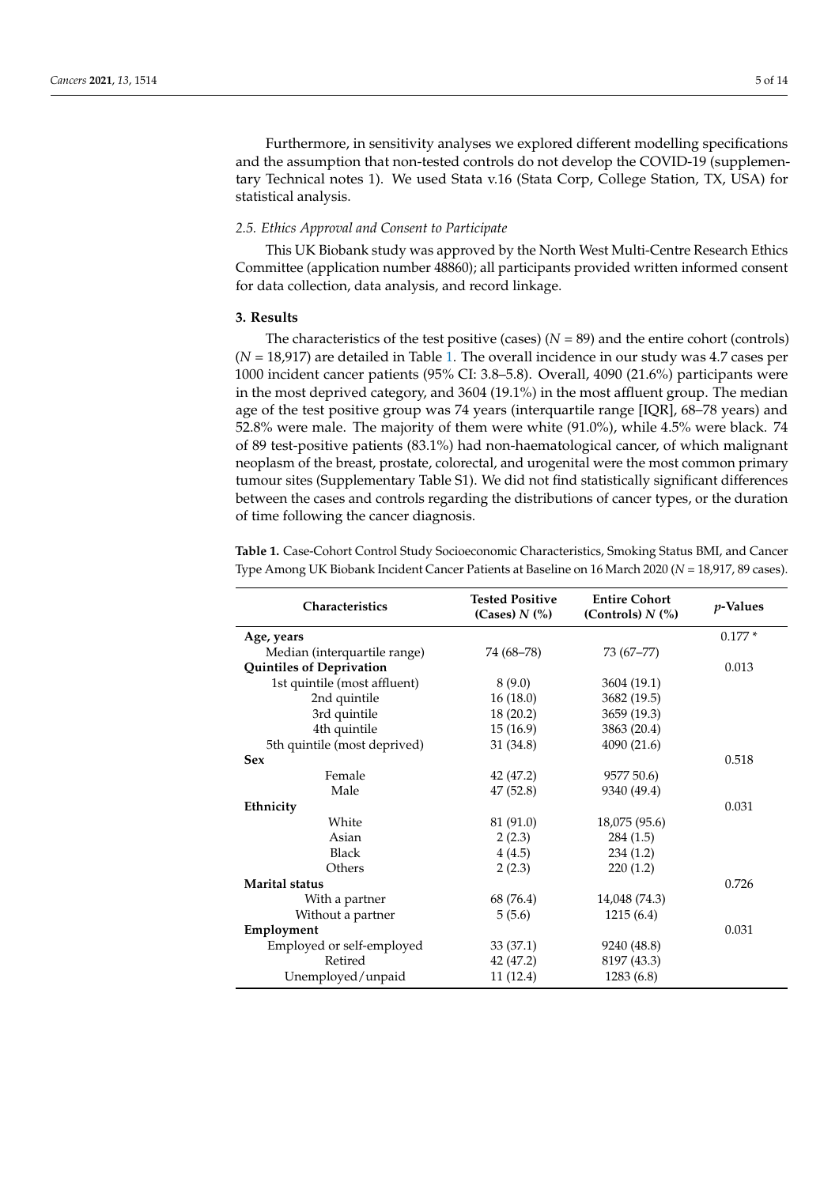Furthermore, in sensitivity analyses we explored different modelling specifications and the assumption that non-tested controls do not develop the COVID-19 (supplementary Technical notes 1). We used Stata v.16 (Stata Corp, College Station, TX, USA) for statistical analysis.

## *2.5. Ethics Approval and Consent to Participate*

This UK Biobank study was approved by the North West Multi-Centre Research Ethics Committee (application number 48860); all participants provided written informed consent for data collection, data analysis, and record linkage.

## **3. Results**

The characteristics of the test positive (cases)  $(N = 89)$  and the entire cohort (controls) (*N* = 18,917) are detailed in Table [1.](#page-4-0) The overall incidence in our study was 4.7 cases per 1000 incident cancer patients (95% CI: 3.8–5.8). Overall, 4090 (21.6%) participants were in the most deprived category, and 3604 (19.1%) in the most affluent group. The median age of the test positive group was 74 years (interquartile range [IQR], 68–78 years) and 52.8% were male. The majority of them were white (91.0%), while 4.5% were black. 74 of 89 test-positive patients (83.1%) had non-haematological cancer, of which malignant neoplasm of the breast, prostate, colorectal, and urogenital were the most common primary tumour sites (Supplementary Table S1). We did not find statistically significant differences between the cases and controls regarding the distributions of cancer types, or the duration of time following the cancer diagnosis.

<span id="page-4-0"></span>**Table 1.** Case-Cohort Control Study Socioeconomic Characteristics, Smoking Status BMI, and Cancer Type Among UK Biobank Incident Cancer Patients at Baseline on 16 March 2020 (*N* = 18,917, 89 cases).

| Characteristics              | <b>Tested Positive</b><br>(Cases) $N$ $\left(\% \right)$ | <b>Entire Cohort</b><br>(Controls) $N$ $\left(\% \right)$ | <i>p</i> -Values |
|------------------------------|----------------------------------------------------------|-----------------------------------------------------------|------------------|
| Age, years                   |                                                          |                                                           | $0.177*$         |
| Median (interquartile range) | 74 (68–78)                                               | 73 (67–77)                                                |                  |
| Quintiles of Deprivation     |                                                          |                                                           | 0.013            |
| 1st quintile (most affluent) | 8(9.0)                                                   | 3604 (19.1)                                               |                  |
| 2nd quintile                 | 16(18.0)                                                 | 3682 (19.5)                                               |                  |
| 3rd quintile                 | 18(20.2)                                                 | 3659 (19.3)                                               |                  |
| 4th quintile                 | 15(16.9)                                                 | 3863 (20.4)                                               |                  |
| 5th quintile (most deprived) | 31(34.8)                                                 | 4090 (21.6)                                               |                  |
| <b>Sex</b>                   |                                                          |                                                           | 0.518            |
| Female                       | 42 (47.2)                                                | 9577 50.6)                                                |                  |
| Male                         | 47 (52.8)                                                | 9340 (49.4)                                               |                  |
| Ethnicity                    |                                                          |                                                           | 0.031            |
| White                        | 81 (91.0)                                                | 18,075 (95.6)                                             |                  |
| Asian                        | 2(2.3)                                                   | 284(1.5)                                                  |                  |
| Black                        | 4(4.5)                                                   | 234(1.2)                                                  |                  |
| Others                       | 2(2.3)                                                   | 220(1.2)                                                  |                  |
| Marital status               |                                                          |                                                           | 0.726            |
| With a partner               | 68 (76.4)                                                | 14,048 (74.3)                                             |                  |
| Without a partner            | 5(5.6)                                                   | 1215(6.4)                                                 |                  |
| Employment                   |                                                          |                                                           | 0.031            |
| Employed or self-employed    | 33(37.1)                                                 | 9240 (48.8)                                               |                  |
| Retired                      | 42 (47.2)                                                | 8197 (43.3)                                               |                  |
| Unemployed/unpaid            | 11(12.4)                                                 | 1283(6.8)                                                 |                  |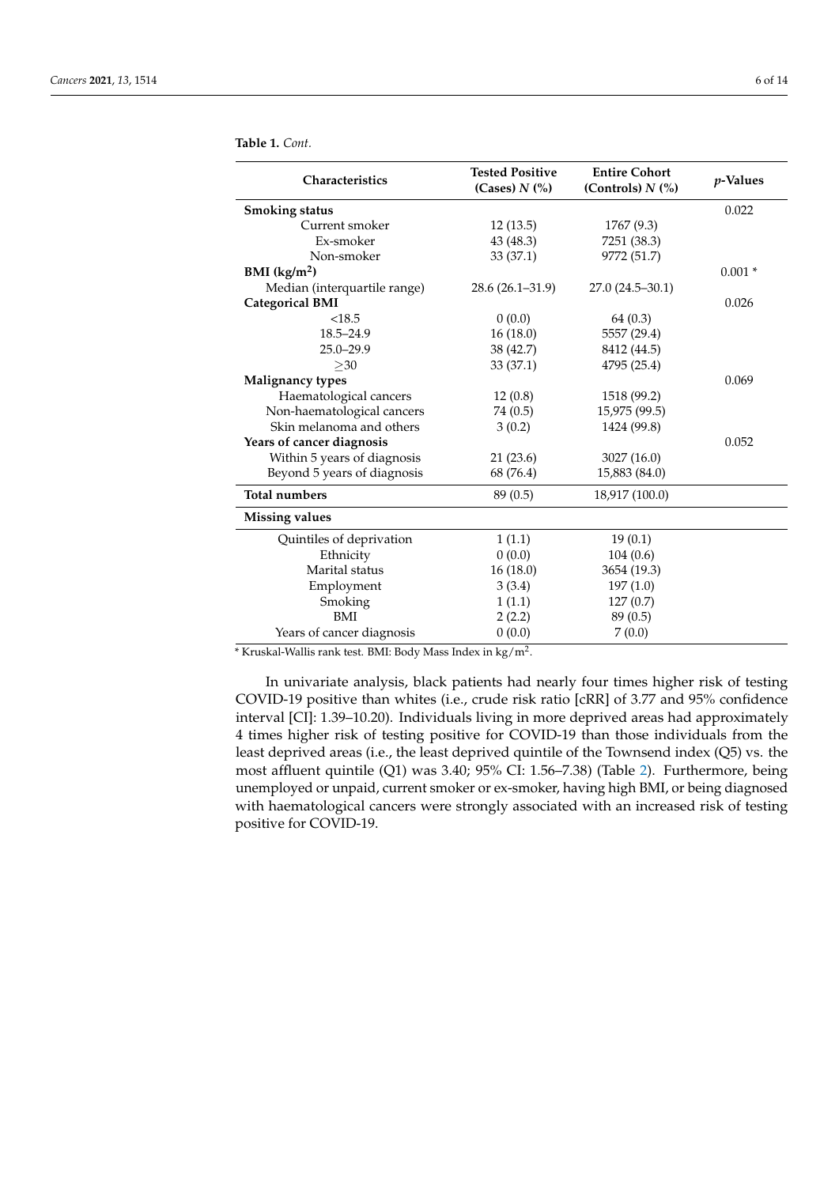| Characteristics              | <b>Tested Positive</b>                 | <b>Entire Cohort</b>                      | <i>p</i> -Values |  |
|------------------------------|----------------------------------------|-------------------------------------------|------------------|--|
|                              | (Cases) $N$ $\left(\frac{9}{6}\right)$ | (Controls) $N$ $\left(\frac{9}{6}\right)$ |                  |  |
| <b>Smoking status</b>        |                                        |                                           | 0.022            |  |
| Current smoker               | 12(13.5)                               | 1767 (9.3)                                |                  |  |
| Ex-smoker                    | 43 (48.3)                              | 7251 (38.3)                               |                  |  |
| Non-smoker                   | 33(37.1)                               | 9772 (51.7)                               |                  |  |
| BMI (kg/m <sup>2</sup> )     |                                        |                                           | $0.001*$         |  |
| Median (interquartile range) | $28.6(26.1-31.9)$                      | $27.0(24.5 - 30.1)$                       |                  |  |
| <b>Categorical BMI</b>       |                                        |                                           | 0.026            |  |
| < 18.5                       | 0(0.0)                                 | 64(0.3)                                   |                  |  |
| $18.5 - 24.9$                | 16(18.0)                               | 5557 (29.4)                               |                  |  |
| $25.0 - 29.9$                | 38 (42.7)                              | 8412 (44.5)                               |                  |  |
| $>30$                        | 33(37.1)                               | 4795 (25.4)                               |                  |  |
| <b>Malignancy types</b>      |                                        |                                           | 0.069            |  |
| Haematological cancers       | 12(0.8)                                | 1518 (99.2)                               |                  |  |
| Non-haematological cancers   | 74 (0.5)                               | 15,975 (99.5)                             |                  |  |
| Skin melanoma and others     | 3(0.2)                                 | 1424 (99.8)                               |                  |  |
| Years of cancer diagnosis    |                                        |                                           | 0.052            |  |
| Within 5 years of diagnosis  | 21(23.6)                               | 3027 (16.0)                               |                  |  |
| Beyond 5 years of diagnosis  | 68 (76.4)                              | 15,883 (84.0)                             |                  |  |
| <b>Total numbers</b>         | 89 (0.5)                               | 18,917 (100.0)                            |                  |  |
| <b>Missing values</b>        |                                        |                                           |                  |  |
| Quintiles of deprivation     | 1(1.1)                                 | 19(0.1)                                   |                  |  |
| Ethnicity                    | 0(0.0)                                 | 104(0.6)                                  |                  |  |
| Marital status               | 16(18.0)                               | 3654 (19.3)                               |                  |  |
| Employment                   | 3(3.4)                                 | 197(1.0)                                  |                  |  |
| Smoking                      | 1(1.1)                                 | 127(0.7)                                  |                  |  |
| BMI                          | 2(2.2)                                 | 89(0.5)                                   |                  |  |
| Years of cancer diagnosis    | 0(0.0)                                 | 7(0.0)                                    |                  |  |

**Table 1.** *Cont.*

 $*$  Kruskal-Wallis rank test. BMI: Body Mass Index in kg/m<sup>2</sup>.

In univariate analysis, black patients had nearly four times higher risk of testing COVID-19 positive than whites (i.e., crude risk ratio [cRR] of 3.77 and 95% confidence interval [CI]: 1.39–10.20). Individuals living in more deprived areas had approximately 4 times higher risk of testing positive for COVID-19 than those individuals from the least deprived areas (i.e., the least deprived quintile of the Townsend index (Q5) vs. the most affluent quintile (Q1) was 3.40; 95% CI: 1.56–7.38) (Table [2\)](#page-6-0). Furthermore, being unemployed or unpaid, current smoker or ex-smoker, having high BMI, or being diagnosed with haematological cancers were strongly associated with an increased risk of testing positive for COVID-19.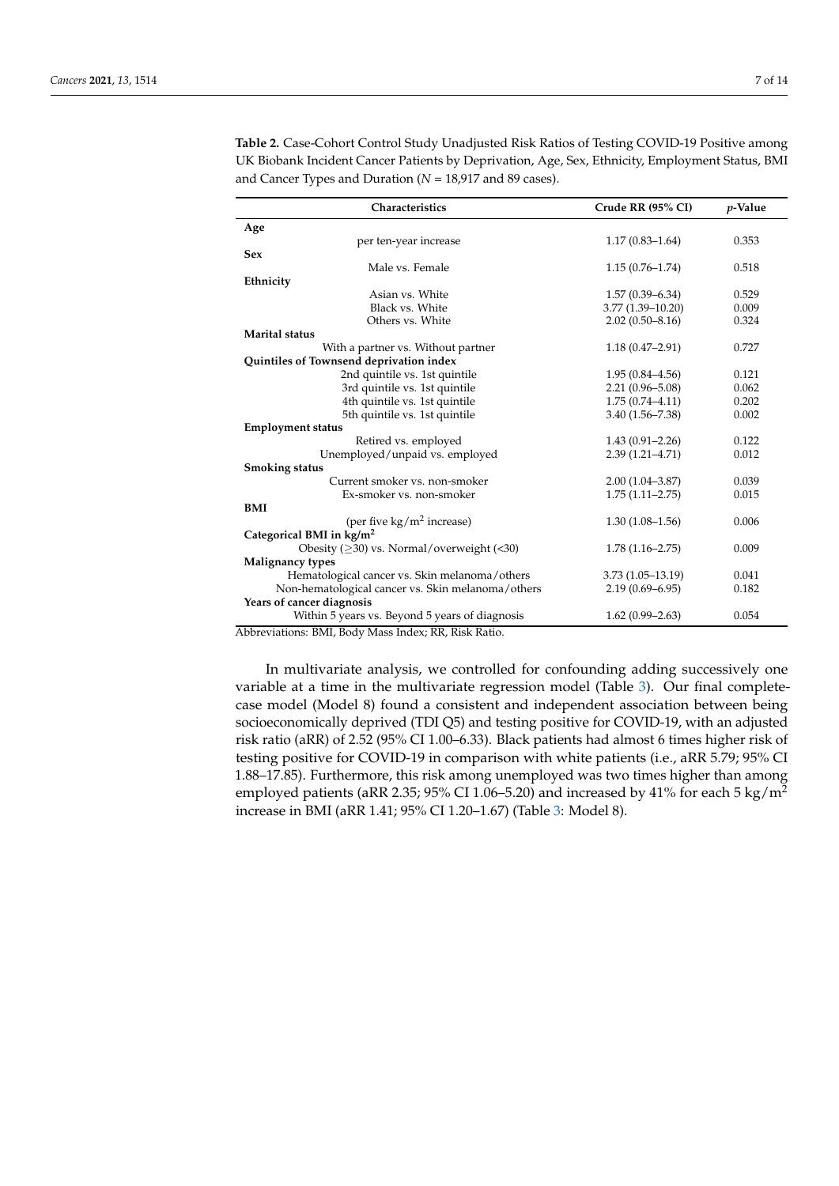| Characteristics                                      | Crude RR (95% CI)    | $p$ -Value |
|------------------------------------------------------|----------------------|------------|
| Age                                                  |                      |            |
| per ten-year increase                                | $1.17(0.83 - 1.64)$  | 0.353      |
| <b>Sex</b>                                           |                      |            |
| Male vs. Female                                      | $1.15(0.76 - 1.74)$  | 0.518      |
| Ethnicity                                            |                      |            |
| Asian vs. White                                      | $1.57(0.39 - 6.34)$  | 0.529      |
| Black vs. White                                      | $3.77(1.39 - 10.20)$ | 0.009      |
| Others vs. White                                     | $2.02(0.50 - 8.16)$  | 0.324      |
| Marital status                                       |                      |            |
| With a partner vs. Without partner                   | $1.18(0.47 - 2.91)$  | 0.727      |
| Quintiles of Townsend deprivation index              |                      |            |
| 2nd quintile vs. 1st quintile                        | $1.95(0.84 - 4.56)$  | 0.121      |
| 3rd quintile vs. 1st quintile                        | $2.21(0.96 - 5.08)$  | 0.062      |
| 4th quintile vs. 1st quintile                        | $1.75(0.74 - 4.11)$  | 0.202      |
| 5th quintile vs. 1st quintile                        | $3.40(1.56 - 7.38)$  | 0.002      |
| <b>Employment status</b>                             |                      |            |
| Retired vs. employed                                 | $1.43(0.91 - 2.26)$  | 0.122      |
| Unemployed/unpaid vs. employed                       | $2.39(1.21 - 4.71)$  | 0.012      |
| <b>Smoking status</b>                                |                      |            |
| Current smoker vs. non-smoker                        | $2.00(1.04 - 3.87)$  | 0.039      |
| Ex-smoker vs. non-smoker                             | $1.75(1.11 - 2.75)$  | 0.015      |
| BMI                                                  |                      |            |
| (per five $kg/m^2$ increase)                         | $1.30(1.08 - 1.56)$  | 0.006      |
| Categorical BMI in kg/m <sup>2</sup>                 |                      |            |
| Obesity $($ >30) vs. Normal/overweight $($ <30)      | $1.78(1.16 - 2.75)$  | 0.009      |
| Malignancy types                                     |                      |            |
| Hematological cancer vs. Skin melanoma/others        | $3.73(1.05 - 13.19)$ | 0.041      |
| Non-hematological cancer vs. Skin melanoma/others    | $2.19(0.69 - 6.95)$  | 0.182      |
| Years of cancer diagnosis                            |                      |            |
| Within 5 years vs. Beyond 5 years of diagnosis       | $1.62(0.99 - 2.63)$  | 0.054      |
| Abbreviations: BMI, Body Mass Index; RR, Risk Ratio. |                      |            |

<span id="page-6-0"></span>**Table 2.** Case-Cohort Control Study Unadjusted Risk Ratios of Testing COVID-19 Positive among UK Biobank Incident Cancer Patients by Deprivation, Age, Sex, Ethnicity, Employment Status, BMI and Cancer Types and Duration (*N* = 18,917 and 89 cases).

In multivariate analysis, we controlled for confounding adding successively one variable at a time in the multivariate regression model (Table [3\)](#page-7-0). Our final completecase model (Model 8) found a consistent and independent association between being socioeconomically deprived (TDI Q5) and testing positive for COVID-19, with an adjusted risk ratio (aRR) of 2.52 (95% CI 1.00–6.33). Black patients had almost 6 times higher risk of testing positive for COVID-19 in comparison with white patients (i.e., aRR 5.79; 95% CI 1.88–17.85). Furthermore, this risk among unemployed was two times higher than among employed patients (aRR 2.35; 95% CI 1.06–5.20) and increased by 41% for each 5 kg/m<sup>2</sup> increase in BMI (aRR 1.41; 95% CI 1.20–1.67) (Table [3:](#page-7-0) Model 8).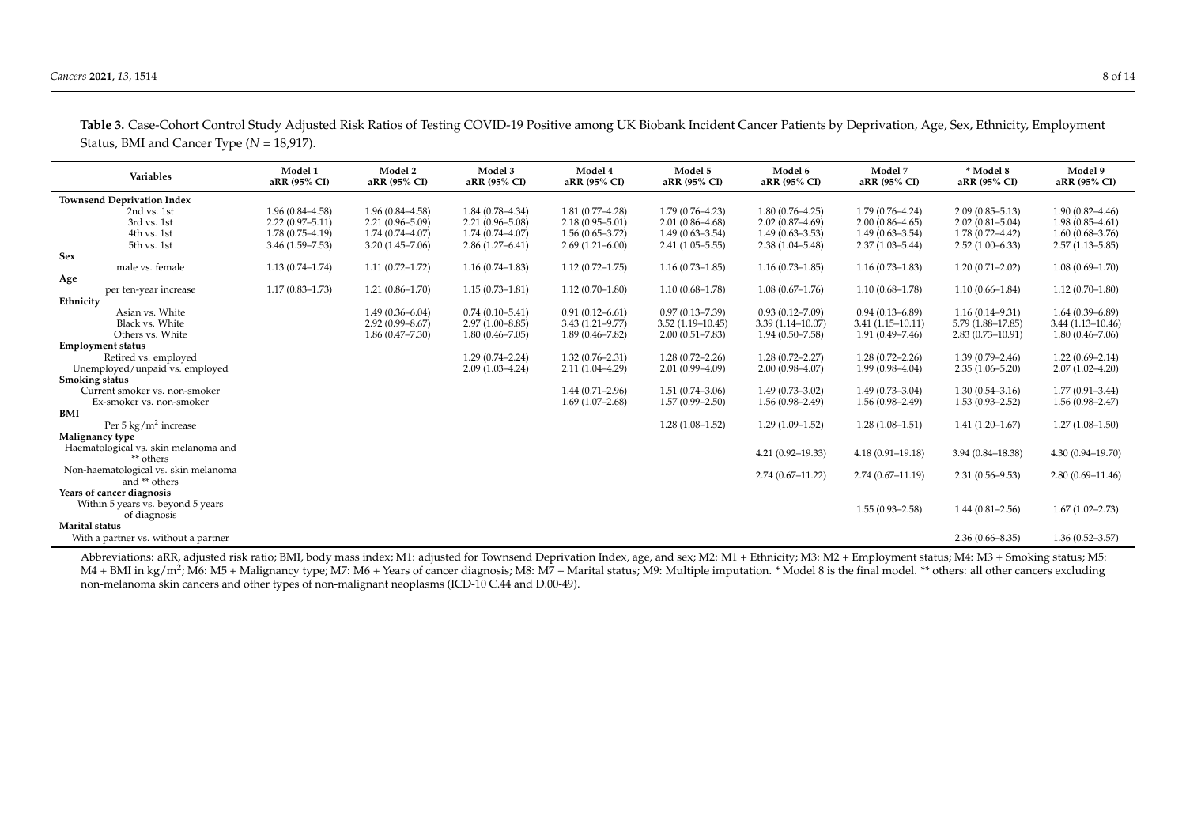| Variables                                         | Model 1<br>aRR (95% CI) | Model 2<br>aRR (95% CI) | Model 3<br>aRR (95% CI) | Model 4<br>aRR (95% CI) | Model 5<br>aRR (95% CI) | Model 6<br>aRR (95% CI) | Model 7<br>aRR (95% CI) | * Model 8<br>aRR (95% CI) | Model 9<br>aRR (95% CI) |
|---------------------------------------------------|-------------------------|-------------------------|-------------------------|-------------------------|-------------------------|-------------------------|-------------------------|---------------------------|-------------------------|
| <b>Townsend Deprivation Index</b>                 |                         |                         |                         |                         |                         |                         |                         |                           |                         |
| 2nd vs. 1st                                       | $1.96(0.84 - 4.58)$     | $1.96(0.84 - 4.58)$     | $1.84(0.78 - 4.34)$     | $1.81(0.77 - 4.28)$     | $1.79(0.76 - 4.23)$     | $1.80(0.76 - 4.25)$     | $1.79(0.76 - 4.24)$     | $2.09(0.85 - 5.13)$       | $1.90(0.82 - 4.46)$     |
| 3rd vs. 1st                                       | $2.22(0.97 - 5.11)$     | $2.21(0.96 - 5.09)$     | $2.21(0.96 - 5.08)$     | $2.18(0.95 - 5.01)$     | $2.01(0.86 - 4.68)$     | $2.02(0.87 - 4.69)$     | $2.00(0.86 - 4.65)$     | $2.02(0.81 - 5.04)$       | $1.98(0.85 - 4.61)$     |
| 4th vs. 1st                                       | $1.78(0.75 - 4.19)$     | $1.74(0.74 - 4.07)$     | $1.74(0.74 - 4.07)$     | $1.56(0.65 - 3.72)$     | $1.49(0.63 - 3.54)$     | $1.49(0.63 - 3.53)$     | $1.49(0.63 - 3.54)$     | $1.78(0.72 - 4.42)$       | $1.60(0.68 - 3.76)$     |
| 5th vs. 1st                                       | $3.46(1.59 - 7.53)$     | $3.20(1.45 - 7.06)$     | $2.86(1.27 - 6.41)$     | $2.69(1.21 - 6.00)$     | $2.41(1.05 - 5.55)$     | $2.38(1.04 - 5.48)$     | $2.37(1.03 - 5.44)$     | $2.52(1.00-6.33)$         | $2.57(1.13 - 5.85)$     |
| Sex                                               |                         |                         |                         |                         |                         |                         |                         |                           |                         |
| male vs. female                                   | $1.13(0.74 - 1.74)$     | $1.11(0.72 - 1.72)$     | $1.16(0.74 - 1.83)$     | $1.12(0.72 - 1.75)$     | $1.16(0.73 - 1.85)$     | $1.16(0.73 - 1.85)$     | $1.16(0.73 - 1.83)$     | $1.20(0.71 - 2.02)$       | $1.08(0.69-1.70)$       |
| Age                                               |                         |                         |                         |                         |                         |                         |                         |                           |                         |
| per ten-year increase                             | $1.17(0.83 - 1.73)$     | $1.21(0.86 - 1.70)$     | $1.15(0.73 - 1.81)$     | $1.12(0.70-1.80)$       | $1.10(0.68 - 1.78)$     | $1.08(0.67-1.76)$       | $1.10(0.68 - 1.78)$     | $1.10(0.66 - 1.84)$       | $1.12(0.70-1.80)$       |
| Ethnicity                                         |                         |                         |                         |                         |                         |                         |                         |                           |                         |
| Asian vs. White                                   |                         | $1.49(0.36 - 6.04)$     | $0.74(0.10 - 5.41)$     | $0.91(0.12 - 6.61)$     | $0.97(0.13 - 7.39)$     | $0.93(0.12 - 7.09)$     | $0.94(0.13 - 6.89)$     | $1.16(0.14 - 9.31)$       | $1.64(0.39 - 6.89)$     |
| Black vs. White                                   |                         | $2.92(0.99 - 8.67)$     | $2.97(1.00 - 8.85)$     | $3.43(1.21 - 9.77)$     | $3.52(1.19 - 10.45)$    | $3.39(1.14 - 10.07)$    | $3.41(1.15 - 10.11)$    | 5.79 (1.88-17.85)         | $3.44(1.13 - 10.46)$    |
| Others vs. White                                  |                         | $1.86(0.47 - 7.30)$     | $1.80(0.46 - 7.05)$     | $1.89(0.46 - 7.82)$     | $2.00(0.51 - 7.83)$     | $1.94(0.50 - 7.58)$     | $1.91(0.49 - 7.46)$     | $2.83(0.73 - 10.91)$      | $1.80(0.46 - 7.06)$     |
| <b>Employment status</b>                          |                         |                         |                         |                         |                         |                         |                         |                           |                         |
| Retired vs. employed                              |                         |                         | $1.29(0.74 - 2.24)$     | $1.32(0.76 - 2.31)$     | $1.28(0.72 - 2.26)$     | $1.28(0.72 - 2.27)$     | $1.28(0.72 - 2.26)$     | $1.39(0.79 - 2.46)$       | $1.22(0.69 - 2.14)$     |
| Unemployed/unpaid vs. employed                    |                         |                         | $2.09(1.03 - 4.24)$     | $2.11(1.04 - 4.29)$     | $2.01(0.99 - 4.09)$     | $2.00(0.98 - 4.07)$     | $1.99(0.98 - 4.04)$     | $2.35(1.06 - 5.20)$       | $2.07(1.02 - 4.20)$     |
| <b>Smoking status</b>                             |                         |                         |                         |                         |                         |                         |                         |                           |                         |
| Current smoker vs. non-smoker                     |                         |                         |                         | $1.44(0.71 - 2.96)$     | $1.51(0.74 - 3.06)$     | $1.49(0.73 - 3.02)$     | $1.49(0.73 - 3.04)$     | $1.30(0.54 - 3.16)$       | $1.77(0.91 - 3.44)$     |
| Ex-smoker vs. non-smoker                          |                         |                         |                         | $1.69(1.07-2.68)$       | $1.57(0.99 - 2.50)$     | $1.56(0.98 - 2.49)$     | $1.56(0.98 - 2.49)$     | $1.53(0.93 - 2.52)$       | $1.56(0.98 - 2.47)$     |
| <b>BMI</b>                                        |                         |                         |                         |                         |                         |                         |                         |                           |                         |
| Per $5 \text{ kg/m}^2$ increase                   |                         |                         |                         |                         | $1.28(1.08-1.52)$       | $1.29(1.09-1.52)$       | $1.28(1.08 - 1.51)$     | $1.41(1.20-1.67)$         | $1.27(1.08-1.50)$       |
| Malignancy type                                   |                         |                         |                         |                         |                         |                         |                         |                           |                         |
| Haematological vs. skin melanoma and<br>** others |                         |                         |                         |                         |                         | $4.21(0.92 - 19.33)$    | $4.18(0.91 - 19.18)$    | $3.94(0.84 - 18.38)$      | 4.30 (0.94-19.70)       |
| Non-haematological vs. skin melanoma              |                         |                         |                         |                         |                         | $2.74(0.67 - 11.22)$    | $2.74(0.67-11.19)$      | $2.31(0.56 - 9.53)$       | $2.80(0.69 - 11.46)$    |
| and ** others                                     |                         |                         |                         |                         |                         |                         |                         |                           |                         |
| Years of cancer diagnosis                         |                         |                         |                         |                         |                         |                         |                         |                           |                         |
| Within 5 years vs. beyond 5 years                 |                         |                         |                         |                         |                         |                         | $1.55(0.93 - 2.58)$     | $1.44(0.81 - 2.56)$       | $1.67(1.02 - 2.73)$     |
| of diagnosis                                      |                         |                         |                         |                         |                         |                         |                         |                           |                         |
| <b>Marital</b> status                             |                         |                         |                         |                         |                         |                         |                         |                           |                         |
| With a partner vs. without a partner              |                         |                         |                         |                         |                         |                         |                         | $2.36(0.66 - 8.35)$       | $1.36(0.52 - 3.57)$     |

**Table 3.** Case-Cohort Control Study Adjusted Risk Ratios of Testing COVID-19 Positive among UK Biobank Incident Cancer Patients by Deprivation, Age, Sex, Ethnicity, Employment Status, BMI and Cancer Type (*N* = 18,917).

<span id="page-7-0"></span>Abbreviations: aRR, adjusted risk ratio; BMI, body mass index; M1: adjusted for Townsend Deprivation Index, age, and sex; M2: M1 + Ethnicity; M3: M2 + Employment status; M4: M3 + Smoking status; M5: M4 + BMI in kg/m<sup>2</sup>; M6: M5 + Malignancy type; M7: M6 + Years of cancer diagnosis; M8: M7 + Marital status; M9: Multiple imputation. \* Model 8 is the final model. \*\* others: all other cancers excluding non-melanoma skin cancers and other types of non-malignant neoplasms (ICD-10 C.44 and D.00-49).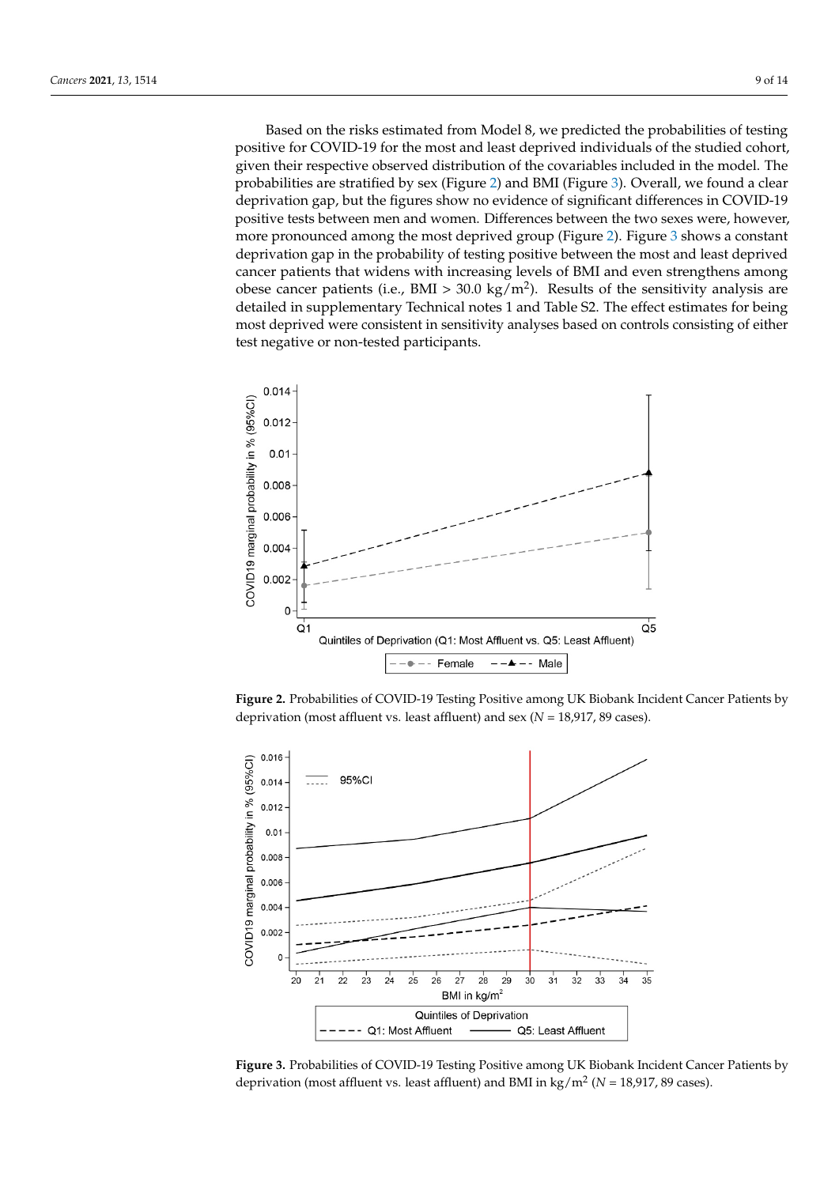Based on the risks estimated from Model 8, we predicted the probabilities of testing positive for COVID-19 for the most and least deprived individuals of the studied cohort, given their respective observed distribution of the covariables included in the model. The probabilities are stratified by sex (Figure 2) and BMI (Figure 3). Overall, we found a clear deprivation gap, but the figures show no evidence of significant differences in COVID-19 positive tests between men and women. Differences between the two sexes were, however, more pronounced among t[he](#page-8-0) most deprived group (Figure 2). Figure 3 shows a constant deprivation gap in the probability of testing positive between the most and least deprived cancer patients that widens with increasing levels of BMI and even strengthens among obese cancer patients (i.e., BMI > 30.0 kg/m<sup>2</sup>). Results of the sensitivity analysis are detailed in supplementary Technical notes 1 and Table S2. The effect estimates for being most deprived were consistent in sensitivity analyses based on controls consisting of either test negative or non-tested participants.  $\frac{1}{1}$  in sensitivity analyses based on controls controls controls controls controls controls controls controls controls controls controls controls controls controls controls controls controls controls controls consist

<span id="page-8-0"></span>

*Cancers* **2021**, *13*, x 10 of 15

**Figure 2.** Probabilities of COVID-19 Testing Positive among UK Biobank Incident Cancer Patients **Figure 2.** Probabilities of COVID-19 Testing Positive among UK Biobank Incident Cancer Patients by deprivation (most affluent vs. least affluent) and sex  $(N = 18,917, 89 \text{ cases})$ . by deprivation (most affluent vs. least affluent) and sex (*N* = 18,917, 89 cases).

<span id="page-8-1"></span>

Figure 3. Probabilities of COVID-19 Testing Positive among UK Biobank Incident Cancer Patients by by deprivation (most affluent vs. least affluent) and BMI in kg/m2 (*N* = 18,917, 89 cases). deprivation (most affluent vs. least affluent) and BMI in kg/m<sup>2</sup> (*N* = 18,917, 89 cases).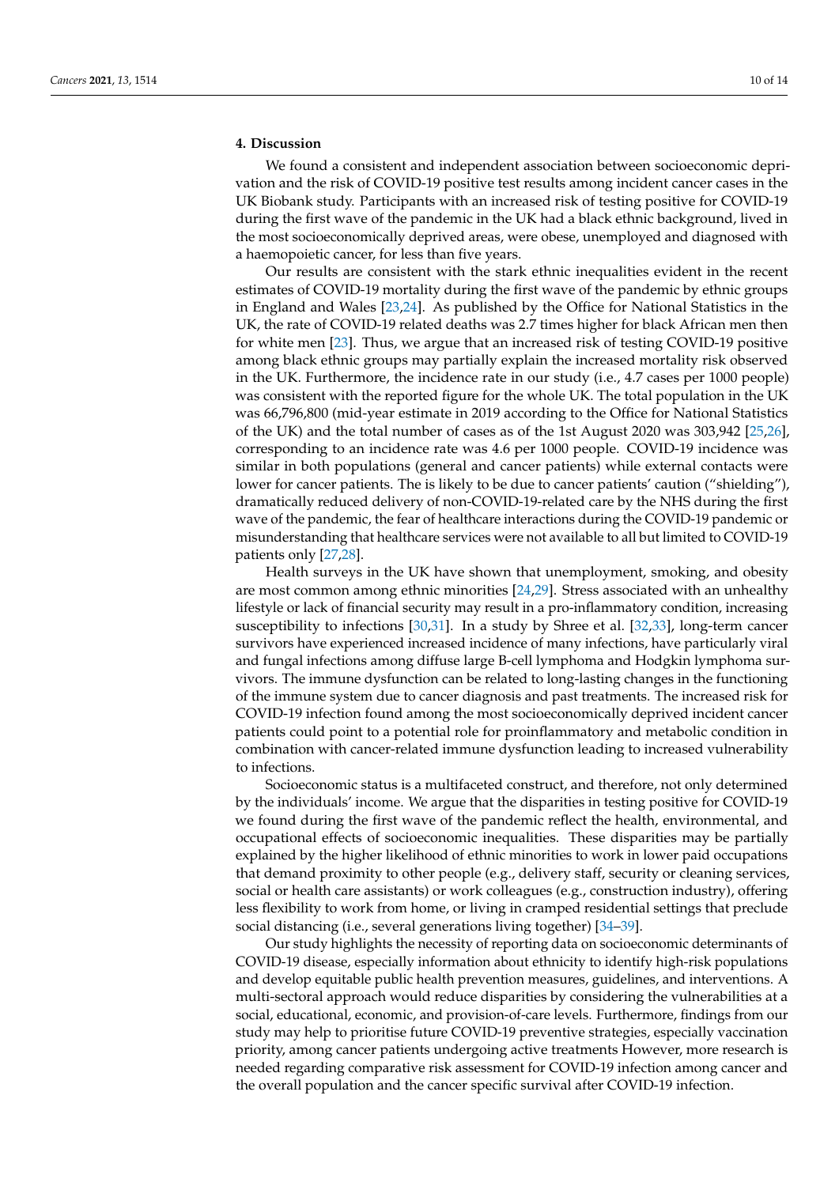# **4. Discussion**

We found a consistent and independent association between socioeconomic deprivation and the risk of COVID-19 positive test results among incident cancer cases in the UK Biobank study. Participants with an increased risk of testing positive for COVID-19 during the first wave of the pandemic in the UK had a black ethnic background, lived in the most socioeconomically deprived areas, were obese, unemployed and diagnosed with a haemopoietic cancer, for less than five years.

Our results are consistent with the stark ethnic inequalities evident in the recent estimates of COVID-19 mortality during the first wave of the pandemic by ethnic groups in England and Wales [\[23,](#page-12-5)[24\]](#page-12-6). As published by the Office for National Statistics in the UK, the rate of COVID-19 related deaths was 2.7 times higher for black African men then for white men [\[23\]](#page-12-5). Thus, we argue that an increased risk of testing COVID-19 positive among black ethnic groups may partially explain the increased mortality risk observed in the UK. Furthermore, the incidence rate in our study (i.e., 4.7 cases per 1000 people) was consistent with the reported figure for the whole UK. The total population in the UK was 66,796,800 (mid-year estimate in 2019 according to the Office for National Statistics of the UK) and the total number of cases as of the 1st August 2020 was 303,942 [\[25,](#page-12-7)[26\]](#page-12-8), corresponding to an incidence rate was 4.6 per 1000 people. COVID-19 incidence was similar in both populations (general and cancer patients) while external contacts were lower for cancer patients. The is likely to be due to cancer patients' caution ("shielding"), dramatically reduced delivery of non-COVID-19-related care by the NHS during the first wave of the pandemic, the fear of healthcare interactions during the COVID-19 pandemic or misunderstanding that healthcare services were not available to all but limited to COVID-19 patients only [\[27,](#page-12-9)[28\]](#page-12-10).

Health surveys in the UK have shown that unemployment, smoking, and obesity are most common among ethnic minorities [\[24](#page-12-6)[,29\]](#page-12-11). Stress associated with an unhealthy lifestyle or lack of financial security may result in a pro-inflammatory condition, increasing susceptibility to infections [\[30](#page-12-12)[,31\]](#page-12-13). In a study by Shree et al. [\[32](#page-12-14)[,33\]](#page-12-15), long-term cancer survivors have experienced increased incidence of many infections, have particularly viral and fungal infections among diffuse large B-cell lymphoma and Hodgkin lymphoma survivors. The immune dysfunction can be related to long-lasting changes in the functioning of the immune system due to cancer diagnosis and past treatments. The increased risk for COVID-19 infection found among the most socioeconomically deprived incident cancer patients could point to a potential role for proinflammatory and metabolic condition in combination with cancer-related immune dysfunction leading to increased vulnerability to infections.

Socioeconomic status is a multifaceted construct, and therefore, not only determined by the individuals' income. We argue that the disparities in testing positive for COVID-19 we found during the first wave of the pandemic reflect the health, environmental, and occupational effects of socioeconomic inequalities. These disparities may be partially explained by the higher likelihood of ethnic minorities to work in lower paid occupations that demand proximity to other people (e.g., delivery staff, security or cleaning services, social or health care assistants) or work colleagues (e.g., construction industry), offering less flexibility to work from home, or living in cramped residential settings that preclude social distancing (i.e., several generations living together) [\[34–](#page-12-16)[39\]](#page-12-17).

Our study highlights the necessity of reporting data on socioeconomic determinants of COVID-19 disease, especially information about ethnicity to identify high-risk populations and develop equitable public health prevention measures, guidelines, and interventions. A multi-sectoral approach would reduce disparities by considering the vulnerabilities at a social, educational, economic, and provision-of-care levels. Furthermore, findings from our study may help to prioritise future COVID-19 preventive strategies, especially vaccination priority, among cancer patients undergoing active treatments However, more research is needed regarding comparative risk assessment for COVID-19 infection among cancer and the overall population and the cancer specific survival after COVID-19 infection.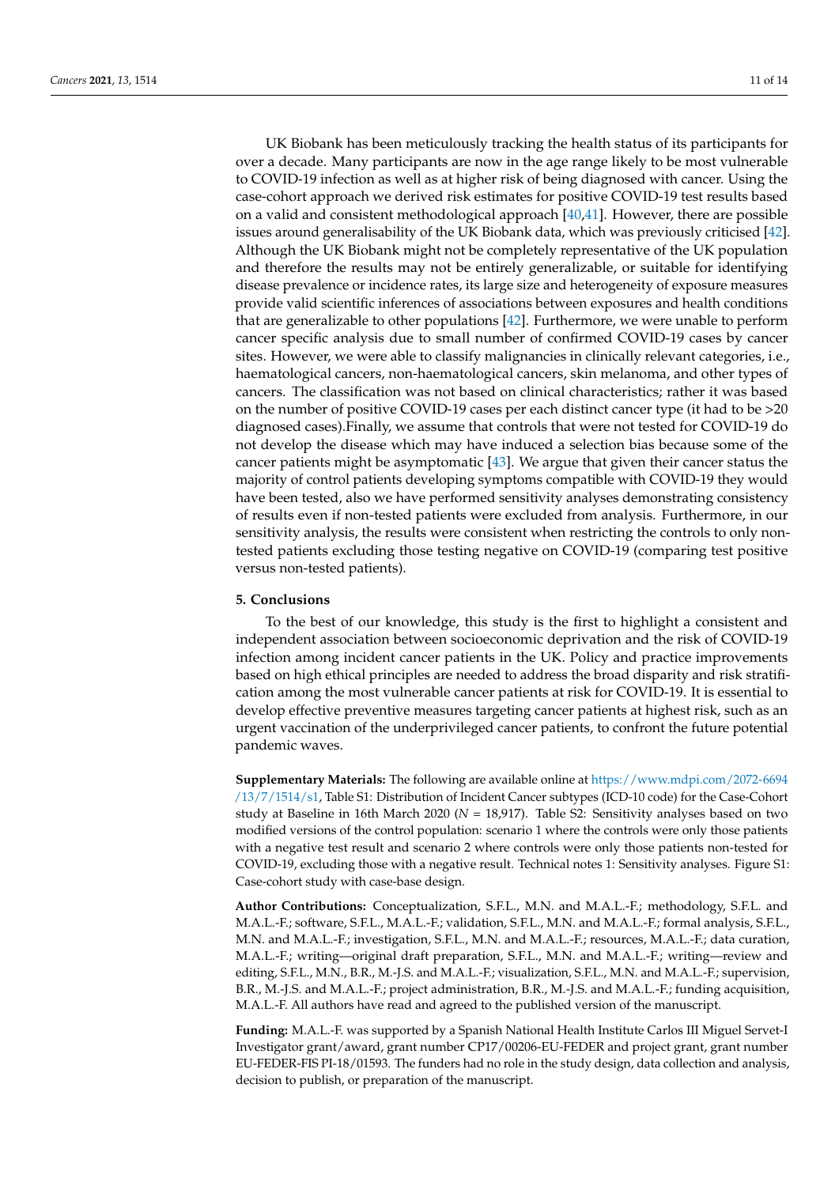UK Biobank has been meticulously tracking the health status of its participants for over a decade. Many participants are now in the age range likely to be most vulnerable to COVID-19 infection as well as at higher risk of being diagnosed with cancer. Using the case-cohort approach we derived risk estimates for positive COVID-19 test results based on a valid and consistent methodological approach [\[40,](#page-12-18)[41\]](#page-12-19). However, there are possible issues around generalisability of the UK Biobank data, which was previously criticised [\[42\]](#page-13-0). Although the UK Biobank might not be completely representative of the UK population and therefore the results may not be entirely generalizable, or suitable for identifying disease prevalence or incidence rates, its large size and heterogeneity of exposure measures provide valid scientific inferences of associations between exposures and health conditions that are generalizable to other populations [\[42\]](#page-13-0). Furthermore, we were unable to perform cancer specific analysis due to small number of confirmed COVID-19 cases by cancer sites. However, we were able to classify malignancies in clinically relevant categories, i.e., haematological cancers, non-haematological cancers, skin melanoma, and other types of cancers. The classification was not based on clinical characteristics; rather it was based on the number of positive COVID-19 cases per each distinct cancer type (it had to be >20 diagnosed cases).Finally, we assume that controls that were not tested for COVID-19 do not develop the disease which may have induced a selection bias because some of the cancer patients might be asymptomatic [\[43\]](#page-13-1). We argue that given their cancer status the majority of control patients developing symptoms compatible with COVID-19 they would have been tested, also we have performed sensitivity analyses demonstrating consistency of results even if non-tested patients were excluded from analysis. Furthermore, in our sensitivity analysis, the results were consistent when restricting the controls to only nontested patients excluding those testing negative on COVID-19 (comparing test positive versus non-tested patients).

### **5. Conclusions**

To the best of our knowledge, this study is the first to highlight a consistent and independent association between socioeconomic deprivation and the risk of COVID-19 infection among incident cancer patients in the UK. Policy and practice improvements based on high ethical principles are needed to address the broad disparity and risk stratification among the most vulnerable cancer patients at risk for COVID-19. It is essential to develop effective preventive measures targeting cancer patients at highest risk, such as an urgent vaccination of the underprivileged cancer patients, to confront the future potential pandemic waves.

**Supplementary Materials:** The following are available online at [https://www.mdpi.com/2072-6694](https://www.mdpi.com/2072-6694/13/7/1514/s1) [/13/7/1514/s1,](https://www.mdpi.com/2072-6694/13/7/1514/s1) Table S1: Distribution of Incident Cancer subtypes (ICD-10 code) for the Case-Cohort study at Baseline in 16th March 2020 (*N* = 18,917). Table S2: Sensitivity analyses based on two modified versions of the control population: scenario 1 where the controls were only those patients with a negative test result and scenario 2 where controls were only those patients non-tested for COVID-19, excluding those with a negative result. Technical notes 1: Sensitivity analyses. Figure S1: Case-cohort study with case-base design.

**Author Contributions:** Conceptualization, S.F.L., M.N. and M.A.L.-F.; methodology, S.F.L. and M.A.L.-F.; software, S.F.L., M.A.L.-F.; validation, S.F.L., M.N. and M.A.L.-F.; formal analysis, S.F.L., M.N. and M.A.L.-F.; investigation, S.F.L., M.N. and M.A.L.-F.; resources, M.A.L.-F.; data curation, M.A.L.-F.; writing—original draft preparation, S.F.L., M.N. and M.A.L.-F.; writing—review and editing, S.F.L., M.N., B.R., M.-J.S. and M.A.L.-F.; visualization, S.F.L., M.N. and M.A.L.-F.; supervision, B.R., M.-J.S. and M.A.L.-F.; project administration, B.R., M.-J.S. and M.A.L.-F.; funding acquisition, M.A.L.-F. All authors have read and agreed to the published version of the manuscript.

**Funding:** M.A.L.-F. was supported by a Spanish National Health Institute Carlos III Miguel Servet-I Investigator grant/award, grant number CP17/00206-EU-FEDER and project grant, grant number EU-FEDER-FIS PI-18/01593. The funders had no role in the study design, data collection and analysis, decision to publish, or preparation of the manuscript.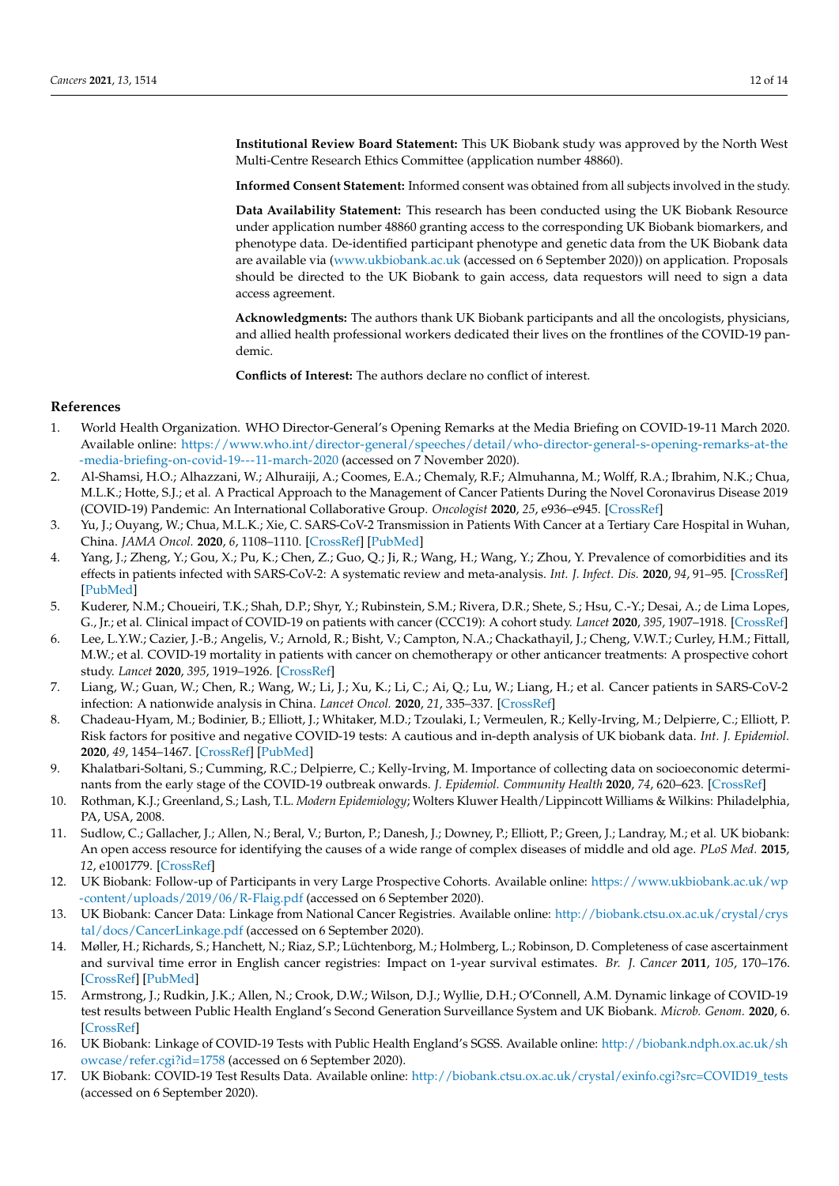**Institutional Review Board Statement:** This UK Biobank study was approved by the North West Multi-Centre Research Ethics Committee (application number 48860).

**Informed Consent Statement:** Informed consent was obtained from all subjects involved in the study.

**Data Availability Statement:** This research has been conducted using the UK Biobank Resource under application number 48860 granting access to the corresponding UK Biobank biomarkers, and phenotype data. De-identified participant phenotype and genetic data from the UK Biobank data are available via [\(www.ukbiobank.ac.uk](www.ukbiobank.ac.uk) (accessed on 6 September 2020)) on application. Proposals should be directed to the UK Biobank to gain access, data requestors will need to sign a data access agreement.

**Acknowledgments:** The authors thank UK Biobank participants and all the oncologists, physicians, and allied health professional workers dedicated their lives on the frontlines of the COVID-19 pandemic.

**Conflicts of Interest:** The authors declare no conflict of interest.

# **References**

- <span id="page-11-0"></span>1. World Health Organization. WHO Director-General's Opening Remarks at the Media Briefing on COVID-19-11 March 2020. Available online: [https://www.who.int/director-general/speeches/detail/who-director-general-s-opening-remarks-at-the](https://www.who.int/director-general/speeches/detail/who-director-general-s-opening-remarks-at-the-media-briefing-on-covid-19---11-march-2020) [-media-briefing-on-covid-19---11-march-2020](https://www.who.int/director-general/speeches/detail/who-director-general-s-opening-remarks-at-the-media-briefing-on-covid-19---11-march-2020) (accessed on 7 November 2020).
- <span id="page-11-1"></span>2. Al-Shamsi, H.O.; Alhazzani, W.; Alhuraiji, A.; Coomes, E.A.; Chemaly, R.F.; Almuhanna, M.; Wolff, R.A.; Ibrahim, N.K.; Chua, M.L.K.; Hotte, S.J.; et al. A Practical Approach to the Management of Cancer Patients During the Novel Coronavirus Disease 2019 (COVID-19) Pandemic: An International Collaborative Group. *Oncologist* **2020**, *25*, e936–e945. [\[CrossRef\]](http://doi.org/10.1634/theoncologist.2020-0213)
- <span id="page-11-2"></span>3. Yu, J.; Ouyang, W.; Chua, M.L.K.; Xie, C. SARS-CoV-2 Transmission in Patients With Cancer at a Tertiary Care Hospital in Wuhan, China. *JAMA Oncol.* **2020**, *6*, 1108–1110. [\[CrossRef\]](http://doi.org/10.1001/jamaoncol.2020.0980) [\[PubMed\]](http://www.ncbi.nlm.nih.gov/pubmed/32211820)
- <span id="page-11-3"></span>4. Yang, J.; Zheng, Y.; Gou, X.; Pu, K.; Chen, Z.; Guo, Q.; Ji, R.; Wang, H.; Wang, Y.; Zhou, Y. Prevalence of comorbidities and its effects in patients infected with SARS-CoV-2: A systematic review and meta-analysis. *Int. J. Infect. Dis.* **2020**, *94*, 91–95. [\[CrossRef\]](http://doi.org/10.1016/j.ijid.2020.03.017) [\[PubMed\]](http://www.ncbi.nlm.nih.gov/pubmed/32173574)
- 5. Kuderer, N.M.; Choueiri, T.K.; Shah, D.P.; Shyr, Y.; Rubinstein, S.M.; Rivera, D.R.; Shete, S.; Hsu, C.-Y.; Desai, A.; de Lima Lopes, G., Jr.; et al. Clinical impact of COVID-19 on patients with cancer (CCC19): A cohort study. *Lancet* **2020**, *395*, 1907–1918. [\[CrossRef\]](http://doi.org/10.1016/S0140-6736(20)31187-9)
- <span id="page-11-4"></span>6. Lee, L.Y.W.; Cazier, J.-B.; Angelis, V.; Arnold, R.; Bisht, V.; Campton, N.A.; Chackathayil, J.; Cheng, V.W.T.; Curley, H.M.; Fittall, M.W.; et al. COVID-19 mortality in patients with cancer on chemotherapy or other anticancer treatments: A prospective cohort study. *Lancet* **2020**, *395*, 1919–1926. [\[CrossRef\]](http://doi.org/10.1016/S0140-6736(20)31173-9)
- <span id="page-11-5"></span>7. Liang, W.; Guan, W.; Chen, R.; Wang, W.; Li, J.; Xu, K.; Li, C.; Ai, Q.; Lu, W.; Liang, H.; et al. Cancer patients in SARS-CoV-2 infection: A nationwide analysis in China. *Lancet Oncol.* **2020**, *21*, 335–337. [\[CrossRef\]](http://doi.org/10.1016/S1470-2045(20)30096-6)
- <span id="page-11-6"></span>8. Chadeau-Hyam, M.; Bodinier, B.; Elliott, J.; Whitaker, M.D.; Tzoulaki, I.; Vermeulen, R.; Kelly-Irving, M.; Delpierre, C.; Elliott, P. Risk factors for positive and negative COVID-19 tests: A cautious and in-depth analysis of UK biobank data. *Int. J. Epidemiol.* **2020**, *49*, 1454–1467. [\[CrossRef\]](http://doi.org/10.1093/ije/dyaa134) [\[PubMed\]](http://www.ncbi.nlm.nih.gov/pubmed/32814959)
- <span id="page-11-7"></span>9. Khalatbari-Soltani, S.; Cumming, R.C.; Delpierre, C.; Kelly-Irving, M. Importance of collecting data on socioeconomic determinants from the early stage of the COVID-19 outbreak onwards. *J. Epidemiol. Community Health* **2020**, *74*, 620–623. [\[CrossRef\]](http://doi.org/10.1136/jech-2020-214297)
- <span id="page-11-8"></span>10. Rothman, K.J.; Greenland, S.; Lash, T.L. *Modern Epidemiology*; Wolters Kluwer Health/Lippincott Williams & Wilkins: Philadelphia, PA, USA, 2008.
- <span id="page-11-9"></span>11. Sudlow, C.; Gallacher, J.; Allen, N.; Beral, V.; Burton, P.; Danesh, J.; Downey, P.; Elliott, P.; Green, J.; Landray, M.; et al. UK biobank: An open access resource for identifying the causes of a wide range of complex diseases of middle and old age. *PLoS Med.* **2015**, *12*, e1001779. [\[CrossRef\]](http://doi.org/10.1371/journal.pmed.1001779)
- <span id="page-11-10"></span>12. UK Biobank: Follow-up of Participants in very Large Prospective Cohorts. Available online: [https://www.ukbiobank.ac.uk/wp](https://www.ukbiobank.ac.uk/wp-content/uploads/2019/06/R-Flaig.pdf) [-content/uploads/2019/06/R-Flaig.pdf](https://www.ukbiobank.ac.uk/wp-content/uploads/2019/06/R-Flaig.pdf) (accessed on 6 September 2020).
- <span id="page-11-11"></span>13. UK Biobank: Cancer Data: Linkage from National Cancer Registries. Available online: [http://biobank.ctsu.ox.ac.uk/crystal/crys](http://biobank.ctsu.ox.ac.uk/crystal/crystal/docs/CancerLinkage.pdf) [tal/docs/CancerLinkage.pdf](http://biobank.ctsu.ox.ac.uk/crystal/crystal/docs/CancerLinkage.pdf) (accessed on 6 September 2020).
- <span id="page-11-12"></span>14. Møller, H.; Richards, S.; Hanchett, N.; Riaz, S.P.; Lüchtenborg, M.; Holmberg, L.; Robinson, D. Completeness of case ascertainment and survival time error in English cancer registries: Impact on 1-year survival estimates. *Br. J. Cancer* **2011**, *105*, 170–176. [\[CrossRef\]](http://doi.org/10.1038/bjc.2011.168) [\[PubMed\]](http://www.ncbi.nlm.nih.gov/pubmed/21559016)
- <span id="page-11-13"></span>15. Armstrong, J.; Rudkin, J.K.; Allen, N.; Crook, D.W.; Wilson, D.J.; Wyllie, D.H.; O'Connell, A.M. Dynamic linkage of COVID-19 test results between Public Health England's Second Generation Surveillance System and UK Biobank. *Microb. Genom.* **2020**, 6. [\[CrossRef\]](http://doi.org/10.1099/mgen.0.000397)
- <span id="page-11-14"></span>16. UK Biobank: Linkage of COVID-19 Tests with Public Health England's SGSS. Available online: [http://biobank.ndph.ox.ac.uk/sh](http://biobank.ndph.ox.ac.uk/showcase/refer.cgi?id=1758) [owcase/refer.cgi?id=1758](http://biobank.ndph.ox.ac.uk/showcase/refer.cgi?id=1758) (accessed on 6 September 2020).
- <span id="page-11-15"></span>17. UK Biobank: COVID-19 Test Results Data. Available online: [http://biobank.ctsu.ox.ac.uk/crystal/exinfo.cgi?src=COVID19\\_tests](http://biobank.ctsu.ox.ac.uk/crystal/exinfo.cgi?src=COVID19_tests) (accessed on 6 September 2020).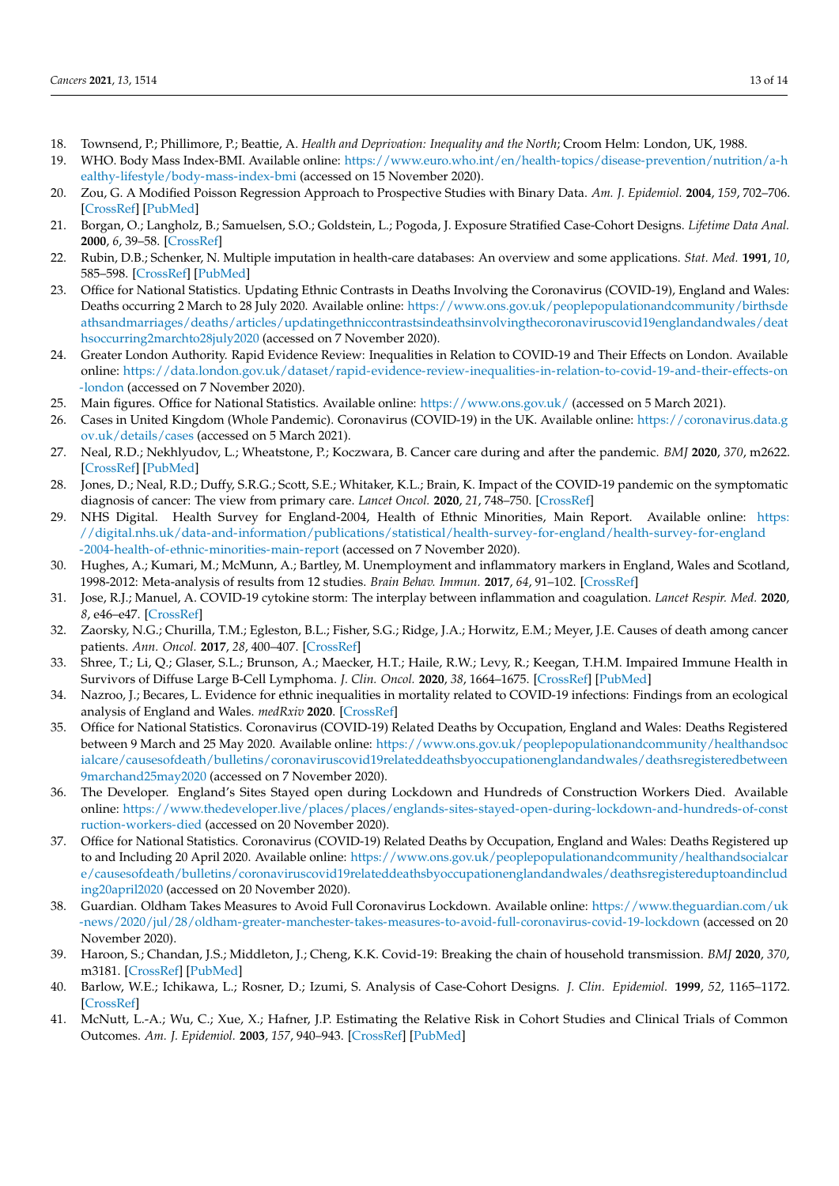- <span id="page-12-0"></span>18. Townsend, P.; Phillimore, P.; Beattie, A. *Health and Deprivation: Inequality and the North*; Croom Helm: London, UK, 1988.
- <span id="page-12-1"></span>19. WHO. Body Mass Index-BMI. Available online: [https://www.euro.who.int/en/health-topics/disease-prevention/nutrition/a-h](https://www.euro.who.int/en/health-topics/disease-prevention/nutrition/a-healthy-lifestyle/body-mass-index-bmi) [ealthy-lifestyle/body-mass-index-bmi](https://www.euro.who.int/en/health-topics/disease-prevention/nutrition/a-healthy-lifestyle/body-mass-index-bmi) (accessed on 15 November 2020).
- <span id="page-12-2"></span>20. Zou, G. A Modified Poisson Regression Approach to Prospective Studies with Binary Data. *Am. J. Epidemiol.* **2004**, *159*, 702–706. [\[CrossRef\]](http://doi.org/10.1093/aje/kwh090) [\[PubMed\]](http://www.ncbi.nlm.nih.gov/pubmed/15033648)
- <span id="page-12-3"></span>21. Borgan, O.; Langholz, B.; Samuelsen, S.O.; Goldstein, L.; Pogoda, J. Exposure Stratified Case-Cohort Designs. *Lifetime Data Anal.* **2000**, *6*, 39–58. [\[CrossRef\]](http://doi.org/10.1023/A:1009661900674)
- <span id="page-12-4"></span>22. Rubin, D.B.; Schenker, N. Multiple imputation in health-care databases: An overview and some applications. *Stat. Med.* **1991**, *10*, 585–598. [\[CrossRef\]](http://doi.org/10.1002/sim.4780100410) [\[PubMed\]](http://www.ncbi.nlm.nih.gov/pubmed/2057657)
- <span id="page-12-5"></span>23. Office for National Statistics. Updating Ethnic Contrasts in Deaths Involving the Coronavirus (COVID-19), England and Wales: Deaths occurring 2 March to 28 July 2020. Available online: [https://www.ons.gov.uk/peoplepopulationandcommunity/birthsde](https://www.ons.gov.uk/peoplepopulationandcommunity/birthsdeathsandmarriages/deaths/articles/updatingethniccontrastsindeathsinvolvingthecoronaviruscovid19englandandwales/deathsoccurring2marchto28july2020) [athsandmarriages/deaths/articles/updatingethniccontrastsindeathsinvolvingthecoronaviruscovid19englandandwales/deat](https://www.ons.gov.uk/peoplepopulationandcommunity/birthsdeathsandmarriages/deaths/articles/updatingethniccontrastsindeathsinvolvingthecoronaviruscovid19englandandwales/deathsoccurring2marchto28july2020) [hsoccurring2marchto28july2020](https://www.ons.gov.uk/peoplepopulationandcommunity/birthsdeathsandmarriages/deaths/articles/updatingethniccontrastsindeathsinvolvingthecoronaviruscovid19englandandwales/deathsoccurring2marchto28july2020) (accessed on 7 November 2020).
- <span id="page-12-6"></span>24. Greater London Authority. Rapid Evidence Review: Inequalities in Relation to COVID-19 and Their Effects on London. Available online: [https://data.london.gov.uk/dataset/rapid-evidence-review-inequalities-in-relation-to-covid-19-and-their-effects-on](https://data.london.gov.uk/dataset/rapid-evidence-review-inequalities-in-relation-to-covid-19-and-their-effects-on-london) [-london](https://data.london.gov.uk/dataset/rapid-evidence-review-inequalities-in-relation-to-covid-19-and-their-effects-on-london) (accessed on 7 November 2020).
- <span id="page-12-7"></span>25. Main figures. Office for National Statistics. Available online: <https://www.ons.gov.uk/> (accessed on 5 March 2021).
- <span id="page-12-8"></span>26. Cases in United Kingdom (Whole Pandemic). Coronavirus (COVID-19) in the UK. Available online: [https://coronavirus.data.g](https://coronavirus.data.gov.uk/details/cases) [ov.uk/details/cases](https://coronavirus.data.gov.uk/details/cases) (accessed on 5 March 2021).
- <span id="page-12-9"></span>27. Neal, R.D.; Nekhlyudov, L.; Wheatstone, P.; Koczwara, B. Cancer care during and after the pandemic. *BMJ* **2020**, *370*, m2622. [\[CrossRef\]](http://doi.org/10.1136/bmj.m2622) [\[PubMed\]](http://www.ncbi.nlm.nih.gov/pubmed/32616512)
- <span id="page-12-10"></span>28. Jones, D.; Neal, R.D.; Duffy, S.R.G.; Scott, S.E.; Whitaker, K.L.; Brain, K. Impact of the COVID-19 pandemic on the symptomatic diagnosis of cancer: The view from primary care. *Lancet Oncol.* **2020**, *21*, 748–750. [\[CrossRef\]](http://doi.org/10.1016/S1470-2045(20)30242-4)
- <span id="page-12-11"></span>29. NHS Digital. Health Survey for England-2004, Health of Ethnic Minorities, Main Report. Available online: [https:](https://digital.nhs.uk/data-and-information/publications/statistical/health-survey-for-england/health-survey-for-england-2004-health-of-ethnic-minorities-main-report) [//digital.nhs.uk/data-and-information/publications/statistical/health-survey-for-england/health-survey-for-england](https://digital.nhs.uk/data-and-information/publications/statistical/health-survey-for-england/health-survey-for-england-2004-health-of-ethnic-minorities-main-report) [-2004-health-of-ethnic-minorities-main-report](https://digital.nhs.uk/data-and-information/publications/statistical/health-survey-for-england/health-survey-for-england-2004-health-of-ethnic-minorities-main-report) (accessed on 7 November 2020).
- <span id="page-12-12"></span>30. Hughes, A.; Kumari, M.; McMunn, A.; Bartley, M. Unemployment and inflammatory markers in England, Wales and Scotland, 1998-2012: Meta-analysis of results from 12 studies. *Brain Behav. Immun.* **2017**, *64*, 91–102. [\[CrossRef\]](http://doi.org/10.1016/j.bbi.2017.03.012)
- <span id="page-12-13"></span>31. Jose, R.J.; Manuel, A. COVID-19 cytokine storm: The interplay between inflammation and coagulation. *Lancet Respir. Med.* **2020**, *8*, e46–e47. [\[CrossRef\]](http://doi.org/10.1016/S2213-2600(20)30216-2)
- <span id="page-12-14"></span>32. Zaorsky, N.G.; Churilla, T.M.; Egleston, B.L.; Fisher, S.G.; Ridge, J.A.; Horwitz, E.M.; Meyer, J.E. Causes of death among cancer patients. *Ann. Oncol.* **2017**, *28*, 400–407. [\[CrossRef\]](http://doi.org/10.1093/annonc/mdw604)
- <span id="page-12-15"></span>33. Shree, T.; Li, Q.; Glaser, S.L.; Brunson, A.; Maecker, H.T.; Haile, R.W.; Levy, R.; Keegan, T.H.M. Impaired Immune Health in Survivors of Diffuse Large B-Cell Lymphoma. *J. Clin. Oncol.* **2020**, *38*, 1664–1675. [\[CrossRef\]](http://doi.org/10.1200/JCO.19.01937) [\[PubMed\]](http://www.ncbi.nlm.nih.gov/pubmed/32083991)
- <span id="page-12-16"></span>34. Nazroo, J.; Becares, L. Evidence for ethnic inequalities in mortality related to COVID-19 infections: Findings from an ecological analysis of England and Wales. *medRxiv* **2020**. [\[CrossRef\]](http://doi.org/10.1101/2020.06.08.20125153)
- 35. Office for National Statistics. Coronavirus (COVID-19) Related Deaths by Occupation, England and Wales: Deaths Registered between 9 March and 25 May 2020. Available online: [https://www.ons.gov.uk/peoplepopulationandcommunity/healthandsoc](https://www.ons.gov.uk/peoplepopulationandcommunity/healthandsocialcare/causesofdeath/bulletins/coronaviruscovid19relateddeathsbyoccupationenglandandwales/deathsregisteredbetween9marchand25may2020) [ialcare/causesofdeath/bulletins/coronaviruscovid19relateddeathsbyoccupationenglandandwales/deathsregisteredbetween](https://www.ons.gov.uk/peoplepopulationandcommunity/healthandsocialcare/causesofdeath/bulletins/coronaviruscovid19relateddeathsbyoccupationenglandandwales/deathsregisteredbetween9marchand25may2020) [9marchand25may2020](https://www.ons.gov.uk/peoplepopulationandcommunity/healthandsocialcare/causesofdeath/bulletins/coronaviruscovid19relateddeathsbyoccupationenglandandwales/deathsregisteredbetween9marchand25may2020) (accessed on 7 November 2020).
- 36. The Developer. England's Sites Stayed open during Lockdown and Hundreds of Construction Workers Died. Available online: [https://www.thedeveloper.live/places/places/englands-sites-stayed-open-during-lockdown-and-hundreds-of-const](https://www.thedeveloper.live/places/places/englands-sites-stayed-open-during-lockdown-and-hundreds-of-construction-workers-died) [ruction-workers-died](https://www.thedeveloper.live/places/places/englands-sites-stayed-open-during-lockdown-and-hundreds-of-construction-workers-died) (accessed on 20 November 2020).
- 37. Office for National Statistics. Coronavirus (COVID-19) Related Deaths by Occupation, England and Wales: Deaths Registered up to and Including 20 April 2020. Available online: [https://www.ons.gov.uk/peoplepopulationandcommunity/healthandsocialcar](https://www.ons.gov.uk/peoplepopulationandcommunity/healthandsocialcare/causesofdeath/bulletins/coronaviruscovid19relateddeathsbyoccupationenglandandwales/deathsregistereduptoandincluding20april2020) [e/causesofdeath/bulletins/coronaviruscovid19relateddeathsbyoccupationenglandandwales/deathsregistereduptoandinclud](https://www.ons.gov.uk/peoplepopulationandcommunity/healthandsocialcare/causesofdeath/bulletins/coronaviruscovid19relateddeathsbyoccupationenglandandwales/deathsregistereduptoandincluding20april2020) [ing20april2020](https://www.ons.gov.uk/peoplepopulationandcommunity/healthandsocialcare/causesofdeath/bulletins/coronaviruscovid19relateddeathsbyoccupationenglandandwales/deathsregistereduptoandincluding20april2020) (accessed on 20 November 2020).
- 38. Guardian. Oldham Takes Measures to Avoid Full Coronavirus Lockdown. Available online: [https://www.theguardian.com/uk](https://www.theguardian.com/uk-news/2020/jul/28/oldham-greater-manchester-takes-measures-to-avoid-full-coronavirus-covid-19-lockdown) [-news/2020/jul/28/oldham-greater-manchester-takes-measures-to-avoid-full-coronavirus-covid-19-lockdown](https://www.theguardian.com/uk-news/2020/jul/28/oldham-greater-manchester-takes-measures-to-avoid-full-coronavirus-covid-19-lockdown) (accessed on 20 November 2020).
- <span id="page-12-17"></span>39. Haroon, S.; Chandan, J.S.; Middleton, J.; Cheng, K.K. Covid-19: Breaking the chain of household transmission. *BMJ* **2020**, *370*, m3181. [\[CrossRef\]](http://doi.org/10.1136/bmj.m3181) [\[PubMed\]](http://www.ncbi.nlm.nih.gov/pubmed/32816710)
- <span id="page-12-18"></span>40. Barlow, W.E.; Ichikawa, L.; Rosner, D.; Izumi, S. Analysis of Case-Cohort Designs. *J. Clin. Epidemiol.* **1999**, *52*, 1165–1172. [\[CrossRef\]](http://doi.org/10.1016/S0895-4356(99)00102-X)
- <span id="page-12-19"></span>41. McNutt, L.-A.; Wu, C.; Xue, X.; Hafner, J.P. Estimating the Relative Risk in Cohort Studies and Clinical Trials of Common Outcomes. *Am. J. Epidemiol.* **2003**, *157*, 940–943. [\[CrossRef\]](http://doi.org/10.1093/aje/kwg074) [\[PubMed\]](http://www.ncbi.nlm.nih.gov/pubmed/12746247)